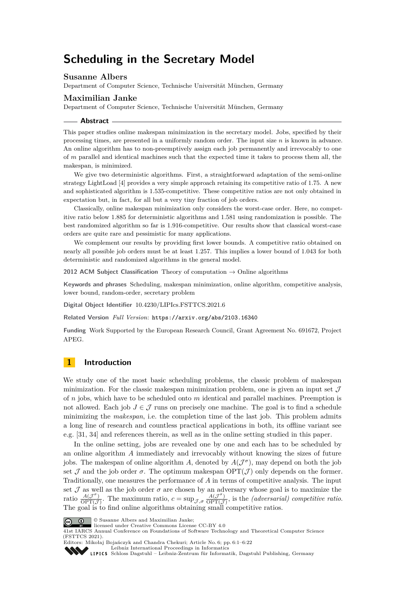# **Scheduling in the Secretary Model**

# **Susanne Albers**

Department of Computer Science, Technische Universität München, Germany

# **Maximilian Janke**

Department of Computer Science, Technische Universität München, Germany

### **Abstract**

This paper studies online makespan minimization in the secretary model. Jobs, specified by their processing times, are presented in a uniformly random order. The input size *n* is known in advance. An online algorithm has to non-preemptively assign each job permanently and irrevocably to one of *m* parallel and identical machines such that the expected time it takes to process them all, the makespan, is minimized.

We give two deterministic algorithms. First, a straightforward adaptation of the semi-online strategy LightLoad [\[4\]](#page-15-0) provides a very simple approach retaining its competitive ratio of 1*.*75. A new and sophisticated algorithm is 1*.*535-competitive. These competitive ratios are not only obtained in expectation but, in fact, for all but a very tiny fraction of job orders.

Classically, online makespan minimization only considers the worst-case order. Here, no competitive ratio below 1*.*885 for deterministic algorithms and 1*.*581 using randomization is possible. The best randomized algorithm so far is 1*.*916-competitive. Our results show that classical worst-case orders are quite rare and pessimistic for many applications.

We complement our results by providing first lower bounds. A competitive ratio obtained on nearly all possible job orders must be at least 1*.*257. This implies a lower bound of 1*.*043 for both deterministic and randomized algorithms in the general model.

**2012 ACM Subject Classification** Theory of computation → Online algorithms

**Keywords and phrases** Scheduling, makespan minimization, online algorithm, competitive analysis, lower bound, random-order, secretary problem

**Digital Object Identifier** [10.4230/LIPIcs.FSTTCS.2021.6](https://doi.org/10.4230/LIPIcs.FSTTCS.2021.6)

**Related Version** *Full Version*: <https://arxiv.org/abs/2103.16340>

**Funding** Work Supported by the European Research Council, Grant Agreement No. 691672, Project APEG.

# **1 Introduction**

We study one of the most basic scheduling problems, the classic problem of makespan minimization. For the classic makespan minimization problem, one is given an input set  $\mathcal{J}$ of *n* jobs, which have to be scheduled onto *m* identical and parallel machines. Preemption is not allowed. Each job  $J \in \mathcal{J}$  runs on precisely one machine. The goal is to find a schedule minimizing the *makespan*, i.e. the completion time of the last job. This problem admits a long line of research and countless practical applications in both, its offline variant see e.g. [\[31,](#page-16-0) [34\]](#page-16-1) and references therein, as well as in the online setting studied in this paper.

In the online setting, jobs are revealed one by one and each has to be scheduled by an online algorithm *A* immediately and irrevocably without knowing the sizes of future jobs. The makespan of online algorithm A, denoted by  $A(\mathcal{J}^{\sigma})$ , may depend on both the job set  $\mathcal J$  and the job order  $\sigma$ . The optimum makespan  $\text{OPT}(\mathcal J)$  only depends on the former. Traditionally, one measures the performance of *A* in terms of competitive analysis. The input set  $\mathcal J$  as well as the job order  $\sigma$  are chosen by an adversary whose goal is to maximize the ratio  $\frac{A(\mathcal{J}^{\sigma})}{\text{OPT}(\mathcal{J})}$  $\frac{A(\mathcal{J}^{\sigma})}{\text{OPT}(\mathcal{J})}$ . The maximum ratio,  $c = \sup_{\mathcal{J}, \sigma} \frac{A(\mathcal{J}^{\sigma})}{\text{OPT}(\mathcal{J})}$  $\frac{A(\mathcal{J}^*)}{\text{OPT}(\mathcal{J})}$ , is the *(adversarial) competitive ratio*. The goal is to find online algorithms obtaining small competitive ratios.



© Susanne Albers and Maximilian Janke;

licensed under Creative Commons License CC-BY 4.0

41st IARCS Annual Conference on Foundations of Software Technology and Theoretical Computer Science (FSTTCS 2021). Editors: Mikołaj Bojańczyk and Chandra Chekuri; Article No. 6; pp. 6:1–6:22

[Leibniz International Proceedings in Informatics](https://www.dagstuhl.de/lipics/) **SSS** 

[Schloss Dagstuhl – Leibniz-Zentrum für Informatik, Dagstuhl Publishing, Germany](https://www.dagstuhl.de)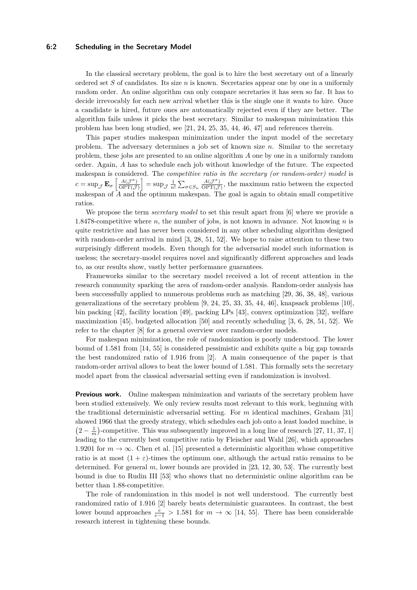# **6:2 Scheduling in the Secretary Model**

In the classical secretary problem, the goal is to hire the best secretary out of a linearly ordered set *S* of candidates. Its size *n* is known. Secretaries appear one by one in a uniformly random order. An online algorithm can only compare secretaries it has seen so far. It has to decide irrevocably for each new arrival whether this is the single one it wants to hire. Once a candidate is hired, future ones are automatically rejected even if they are better. The algorithm fails unless it picks the best secretary. Similar to makespan minimization this problem has been long studied, see [\[21,](#page-16-2) [24,](#page-16-3) [25,](#page-16-4) [35,](#page-16-5) [44,](#page-17-0) [46,](#page-17-1) [47\]](#page-17-2) and references therein.

This paper studies makespan minimization under the input model of the secretary problem. The adversary determines a job set of known size *n*. Similar to the secretary problem, these jobs are presented to an online algorithm *A* one by one in a uniformly random order. Again, *A* has to schedule each job without knowledge of the future. The expected makespan is considered. The *competitive ratio in the secretary (or random-order) model* is  $c = \sup_{\mathcal{J}} \mathbf{E}_{\sigma} \left[ \frac{A(\mathcal{J}^{\sigma})}{\text{OPT}(\mathcal{J}} \right]$  $\left[\frac{A(\mathcal{J}^{\sigma})}{\text{OPT}(\mathcal{J})}\right] = \sup_{\mathcal{J}} \frac{1}{n!} \sum_{\sigma \in S_n} \frac{A(\mathcal{J}^{\sigma})}{\text{OPT}(\mathcal{J})}$  $\frac{A(J)}{\text{OPT}(\mathcal{J})}$ , the maximum ratio between the expected makespan of *A* and the optimum makespan. The goal is again to obtain small competitive ratios.

We propose the term *secretary model* to set this result apart from [\[6\]](#page-15-1) where we provide a 1*.*8478-competitive where *n*, the number of jobs, is not known in advance. Not knowing *n* is quite restrictive and has never been considered in any other scheduling algorithm designed with random-order arrival in mind [\[3,](#page-15-2) [28,](#page-16-6) [51,](#page-17-3) [52\]](#page-17-4). We hope to raise attention to these two surprisingly different models. Even though for the adversarial model such information is useless; the secretary-model requires novel and significantly different approaches and leads to, as our results show, vastly better performance guarantees.

Frameworks similar to the secretary model received a lot of recent attention in the research community sparking the area of random-order analysis. Random-order analysis has been successfully applied to numerous problems such as matching [\[29,](#page-16-7) [36,](#page-16-8) [38,](#page-16-9) [48\]](#page-17-5), various generalizations of the secretary problem  $[9, 24, 25, 33, 35, 44, 46]$  $[9, 24, 25, 33, 35, 44, 46]$  $[9, 24, 25, 33, 35, 44, 46]$  $[9, 24, 25, 33, 35, 44, 46]$  $[9, 24, 25, 33, 35, 44, 46]$  $[9, 24, 25, 33, 35, 44, 46]$  $[9, 24, 25, 33, 35, 44, 46]$  $[9, 24, 25, 33, 35, 44, 46]$  $[9, 24, 25, 33, 35, 44, 46]$  $[9, 24, 25, 33, 35, 44, 46]$  $[9, 24, 25, 33, 35, 44, 46]$  $[9, 24, 25, 33, 35, 44, 46]$  $[9, 24, 25, 33, 35, 44, 46]$ , knapsack problems  $[10]$ , bin packing [\[42\]](#page-16-11), facility location [\[49\]](#page-17-6), packing LPs [\[43\]](#page-17-7), convex optimization [\[32\]](#page-16-12), welfare maximization [\[45\]](#page-17-8), budgeted allocation [\[50\]](#page-17-9) and recently scheduling [\[3,](#page-15-2) [6,](#page-15-1) [28,](#page-16-6) [51,](#page-17-3) [52\]](#page-17-4). We refer to the chapter [\[8\]](#page-15-5) for a general overview over random-order models.

For makespan minimization, the role of randomization is poorly understood. The lower bound of 1*.*581 from [\[14,](#page-15-6) [55\]](#page-17-10) is considered pessimistic and exhibits quite a big gap towards the best randomized ratio of 1*.*916 from [\[2\]](#page-15-7). A main consequence of the paper is that random-order arrival allows to beat the lower bound of 1*.*581. This formally sets the secretary model apart from the classical adversarial setting even if randomization is involved.

**Previous work.** Online makespan minimization and variants of the secretary problem have been studied extensively. We only review results most relevant to this work, beginning with the traditional deterministic adversarial setting. For *m* identical machines, Graham [\[31\]](#page-16-0) showed 1966 that the greedy strategy, which schedules each job onto a least loaded machine, is  $(2 - \frac{1}{m})$ -competitive. This was subsequently improved in a long line of research [\[27,](#page-16-13) [11,](#page-15-8) [37,](#page-16-14) [1\]](#page-15-9) leading to the currently best competitive ratio by Fleischer and Wahl [\[26\]](#page-16-15), which approaches 1.9201 for  $m \to \infty$ . Chen et al. [\[15\]](#page-15-10) presented a deterministic algorithm whose competitive ratio is at most  $(1 + \varepsilon)$ -times the optimum one, although the actual ratio remains to be determined. For general *m*, lower bounds are provided in [\[23,](#page-16-16) [12,](#page-15-11) [30,](#page-16-17) [53\]](#page-17-11). The currently best bound is due to Rudin III [\[53\]](#page-17-11) who shows that no deterministic online algorithm can be better than 1*.*88-competitive.

The role of randomization in this model is not well understood. The currently best randomized ratio of 1*.*916 [\[2\]](#page-15-7) barely beats deterministic guarantees. In contrast, the best lower bound approaches  $\frac{e}{e-1} > 1.581$  for  $m \to \infty$  [\[14,](#page-15-6) [55\]](#page-17-10). There has been considerable research interest in tightening these bounds.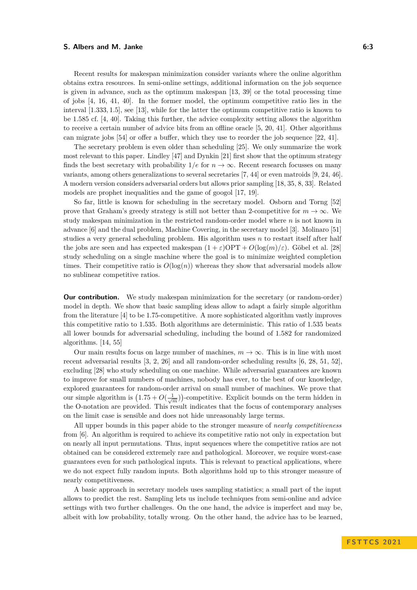### **S. Albers and M. Janke 6:3 6:3**

Recent results for makespan minimization consider variants where the online algorithm obtains extra resources. In semi-online settings, additional information on the job sequence is given in advance, such as the optimum makespan [\[13,](#page-15-12) [39\]](#page-16-18) or the total processing time of jobs [\[4,](#page-15-0) [16,](#page-15-13) [41,](#page-16-19) [40\]](#page-16-20). In the former model, the optimum competitive ratio lies in the interval [1*.*333*,* 1*.*5], see [\[13\]](#page-15-12), while for the latter the optimum competitive ratio is known to be 1*.*585 cf. [\[4,](#page-15-0) [40\]](#page-16-20). Taking this further, the advice complexity setting allows the algorithm to receive a certain number of advice bits from an offline oracle [\[5,](#page-15-14) [20,](#page-15-15) [41\]](#page-16-19). Other algorithms can migrate jobs [\[54\]](#page-17-12) or offer a buffer, which they use to reorder the job sequence [\[22,](#page-16-21) [41\]](#page-16-19).

The secretary problem is even older than scheduling [\[25\]](#page-16-4). We only summarize the work most relevant to this paper. Lindley [\[47\]](#page-17-2) and Dynkin [\[21\]](#page-16-2) first show that the optimum strategy finds the best secretary with probability  $1/e$  for  $n \to \infty$ . Recent research focusses on many variants, among others generalizations to several secretaries [\[7,](#page-15-16) [44\]](#page-17-0) or even matroids [\[9,](#page-15-3) [24,](#page-16-3) [46\]](#page-17-1). A modern version considers adversarial orders but allows prior sampling [\[18,](#page-15-17) [35,](#page-16-5) [8,](#page-15-5) [33\]](#page-16-10). Related models are prophet inequalities and the game of googol [\[17,](#page-15-18) [19\]](#page-15-19).

So far, little is known for scheduling in the secretary model. Osborn and Torng [\[52\]](#page-17-4) prove that Graham's greedy strategy is still not better than 2-competitive for  $m \to \infty$ . We study makespan minimization in the restricted random-order model where *n* is not known in advance [\[6\]](#page-15-1) and the dual problem, Machine Covering, in the secretary model [\[3\]](#page-15-2). Molinaro [\[51\]](#page-17-3) studies a very general scheduling problem. His algorithm uses *n* to restart itself after half the jobs are seen and has expected makespan  $(1 + \varepsilon)$ OPT +  $O(\log(m)/\varepsilon)$ . Göbel et al. [\[28\]](#page-16-6) study scheduling on a single machine where the goal is to minimize weighted completion times. Their competitive ratio is  $O(\log(n))$  whereas they show that adversarial models allow no sublinear competitive ratios.

**Our contribution.** We study makespan minimization for the secretary (or random-order) model in depth. We show that basic sampling ideas allow to adapt a fairly simple algorithm from the literature [\[4\]](#page-15-0) to be 1*.*75-competitive. A more sophisticated algorithm vastly improves this competitive ratio to 1*.*535. Both algorithms are deterministic. This ratio of 1*.*535 beats all lower bounds for adversarial scheduling, including the bound of 1*.*582 for randomized algorithms. [\[14,](#page-15-6) [55\]](#page-17-10)

Our main results focus on large number of machines,  $m \to \infty$ . This is in line with most recent adversarial results [\[3,](#page-15-2) [2,](#page-15-7) [26\]](#page-16-15) and all random-order scheduling results [\[6,](#page-15-1) [28,](#page-16-6) [51,](#page-17-3) [52\]](#page-17-4), excluding [\[28\]](#page-16-6) who study scheduling on one machine. While adversarial guarantees are known to improve for small numbers of machines, nobody has ever, to the best of our knowledge, explored guarantees for random-order arrival on small number of machines. We prove that our simple algorithm is  $(1.75 + O(\frac{1}{\sqrt{m}}))$ -competitive. Explicit bounds on the term hidden in the O-notation are provided. This result indicates that the focus of contemporary analyses on the limit case is sensible and does not hide unreasonably large terms.

All upper bounds in this paper abide to the stronger measure of *nearly competitiveness* from [\[6\]](#page-15-1). An algorithm is required to achieve its competitive ratio not only in expectation but on nearly all input permutations. Thus, input sequences where the competitive ratios are not obtained can be considered extremely rare and pathological. Moreover, we require worst-case guarantees even for such pathological inputs. This is relevant to practical applications, where we do not expect fully random inputs. Both algorithms hold up to this stronger measure of nearly competitiveness.

A basic approach in secretary models uses sampling statistics; a small part of the input allows to predict the rest. Sampling lets us include techniques from semi-online and advice settings with two further challenges. On the one hand, the advice is imperfect and may be, albeit with low probability, totally wrong. On the other hand, the advice has to be learned,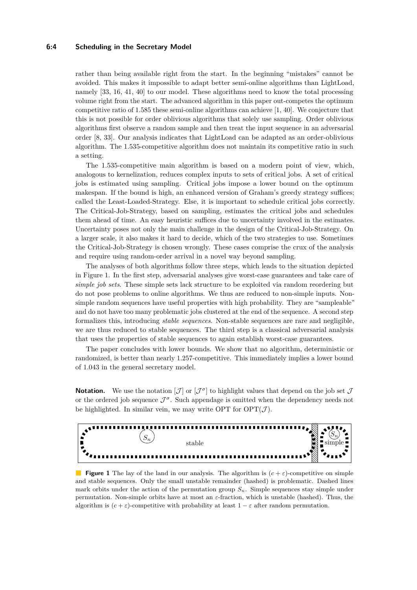# **6:4 Scheduling in the Secretary Model**

rather than being available right from the start. In the beginning "mistakes" cannot be avoided. This makes it impossible to adapt better semi-online algorithms than LightLoad, namely [\[33,](#page-16-10) [16,](#page-15-13) [41,](#page-16-19) [40\]](#page-16-20) to our model. These algorithms need to know the total processing volume right from the start. The advanced algorithm in this paper out-competes the optimum competitive ratio of 1*.*585 these semi-online algorithms can achieve [\[1,](#page-15-9) [40\]](#page-16-20). We conjecture that this is not possible for order oblivious algorithms that solely use sampling. Order oblivious algorithms first observe a random sample and then treat the input sequence in an adversarial order [\[8,](#page-15-5) [33\]](#page-16-10). Our analysis indicates that LightLoad can be adapted as an order-oblivious algorithm. The 1*.*535-competitive algorithm does not maintain its competitive ratio in such a setting.

The 1*.*535-competitive main algorithm is based on a modern point of view, which, analogous to kernelization, reduces complex inputs to sets of critical jobs. A set of critical jobs is estimated using sampling. Critical jobs impose a lower bound on the optimum makespan. If the bound is high, an enhanced version of Graham's greedy strategy suffices; called the Least-Loaded-Strategy. Else, it is important to schedule critical jobs correctly. The Critical-Job-Strategy, based on sampling, estimates the critical jobs and schedules them ahead of time. An easy heuristic suffices due to uncertainty involved in the estimates. Uncertainty poses not only the main challenge in the design of the Critical-Job-Strategy. On a larger scale, it also makes it hard to decide, which of the two strategies to use. Sometimes the Critical-Job-Strategy is chosen wrongly. These cases comprise the crux of the analysis and require using random-order arrival in a novel way beyond sampling.

The analyses of both algorithms follow three steps, which leads to the situation depicted in Figure [1.](#page-3-0) In the first step, adversarial analyses give worst-case guarantees and take care of *simple job sets*. These simple sets lack structure to be exploited via random reordering but do not pose problems to online algorithms. We thus are reduced to non-simple inputs. Nonsimple random sequences have useful properties with high probability. They are "sampleable" and do not have too many problematic jobs clustered at the end of the sequence. A second step formalizes this, introducing *stable sequences*. Non-stable sequences are rare and negligible, we are thus reduced to stable sequences. The third step is a classical adversarial analysis that uses the properties of stable sequences to again establish worst-case guarantees.

The paper concludes with lower bounds. We show that no algorithm, deterministic or randomized, is better than nearly 1*.*257-competitive. This immediately implies a lower bound of 1*.*043 in the general secretary model.

**Notation.** We use the notation  $[\mathcal{J}]$  or  $[\mathcal{J}^{\sigma}]$  to highlight values that depend on the job set  $\mathcal{J}$ or the ordered job sequence  $\mathcal{J}^{\sigma}$ . Such appendage is omitted when the dependency needs not be highlighted. In similar vein, we may write OPT for  $\text{OPT}(\mathcal{J})$ .

<span id="page-3-0"></span>

**Figure 1** The lay of the land in our analysis. The algorithm is  $(c + \varepsilon)$ -competitive on simple and stable sequences. Only the small unstable remainder (hashed) is problematic. Dashed lines mark orbits under the action of the permutation group  $S_n$ . Simple sequences stay simple under permutation. Non-simple orbits have at most an *ε*-fraction, which is unstable (hashed). Thus, the algorithm is  $(c + \varepsilon)$ -competitive with probability at least  $1 - \varepsilon$  after random permutation.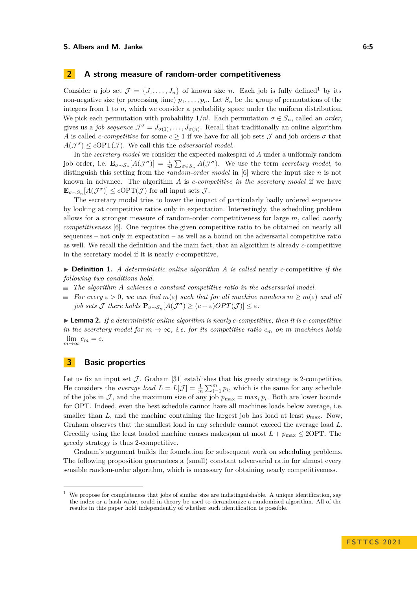### **S. Albers and M. Janke 6:5**

# **2 A strong measure of random-order competitiveness**

Consider a job set  $\mathcal{J} = \{J_1, \ldots, J_n\}$  $\mathcal{J} = \{J_1, \ldots, J_n\}$  $\mathcal{J} = \{J_1, \ldots, J_n\}$  of known size *n*. Each job is fully defined<sup>1</sup> by its non-negative size (or processing time)  $p_1, \ldots, p_n$ . Let  $S_n$  be the group of permutations of the integers from 1 to *n*, which we consider a probability space under the uniform distribution. We pick each permutation with probability  $1/n!$ . Each permutation  $\sigma \in S_n$ , called an *order*, gives us a *job sequence*  $\mathcal{J}^{\sigma} = J_{\sigma(1)}, \ldots, J_{\sigma(n)}$ . Recall that traditionally an online algorithm *A* is called *c*-*competitive* for some  $c \geq 1$  if we have for all job sets  $\mathcal{J}$  and job orders  $\sigma$  that  $A(\mathcal{J}^{\sigma}) \leq c\text{OPT}(\mathcal{J})$ . We call this the *adversarial model*.

In the *secretary model* we consider the expected makespan of *A* under a uniformly random job order, i.e.  $\mathbf{E}_{\sigma \sim S_n}[A(\mathcal{J}^{\sigma})] = \frac{1}{n!} \sum_{\sigma \in S_n} A(\mathcal{J}^{\sigma})$ . We use the term *secretary model*, to distinguish this setting from the *random-order model* in [\[6\]](#page-15-1) where the input size *n* is not known in advance. The algorithm *A* is *c-competitive in the secretary model* if we have  $\mathbf{E}_{\sigma \sim S_n}[A(\mathcal{J}^{\sigma})] \leq c\text{OPT}(\mathcal{J})$  for all input sets  $\mathcal{J}$ .

The secretary model tries to lower the impact of particularly badly ordered sequences by looking at competitive ratios only in expectation. Interestingly, the scheduling problem allows for a stronger measure of random-order competitiveness for large *m*, called *nearly competitiveness* [\[6\]](#page-15-1). One requires the given competitive ratio to be obtained on nearly all sequences – not only in expectation – as well as a bound on the adversarial competitive ratio as well. We recall the definition and the main fact, that an algorithm is already *c*-competitive in the secretary model if it is nearly *c*-competitive.

▶ **Definition 1.** *A deterministic online algorithm A is called* nearly *c*-competitive *if the following two conditions hold.*

- *The algorithm A achieves a constant competitive ratio in the adversarial model.*
- *For every*  $\epsilon > 0$ , we can find  $m(\epsilon)$  such that for all machine numbers  $m > m(\epsilon)$  and all *job sets*  $\mathcal J$  *there holds*  $\mathbf{P}_{\sigma \sim S_n}[A(\mathcal{J}^{\sigma}) \geq (c+\varepsilon)OPT(\mathcal{J})] \leq \varepsilon$ .

<span id="page-4-3"></span>▶ **Lemma 2.** *If a deterministic online algorithm is nearly c-competitive, then it is c-competitive in the secretary model for*  $m \to \infty$ , *i.e. for its competitive ratio*  $c_m$  *on*  $m$  *machines holds*  $\lim_{m \to \infty} c_m = c.$ 

# <span id="page-4-2"></span>**3 Basic properties**

Let us fix an input set  $\mathcal J$ . Graham [\[31\]](#page-16-0) establishes that his greedy strategy is 2-competitive. He considers the *average load*  $L = L[\mathcal{J}] = \frac{1}{m} \sum_{i=1}^{m} p_i$ , which is the same for any schedule of the jobs in  $\mathcal{J}$ , and the maximum size of any job  $p_{\text{max}} = \max_i p_i$ . Both are lower bounds for OPT. Indeed, even the best schedule cannot have all machines loads below average, i.e. smaller than  $L$ , and the machine containing the largest job has load at least  $p_{\text{max}}$ . Now, Graham observes that the smallest load in any schedule cannot exceed the average load *L*. Greedily using the least loaded machine causes makespan at most  $L + p_{\text{max}} \leq 20$ PT. The greedy strategy is thus 2-competitive.

Graham's argument builds the foundation for subsequent work on scheduling problems. The following proposition guarantees a (small) constant adversarial ratio for almost every sensible random-order algorithm, which is necessary for obtaining nearly competitiveness.

<span id="page-4-1"></span><span id="page-4-0"></span><sup>1</sup> We propose for completeness that jobs of similar size are indistinguishable. A unique identification, say the index or a hash value, could in theory be used to derandomize a randomized algorithm. All of the results in this paper hold independently of whether such identification is possible.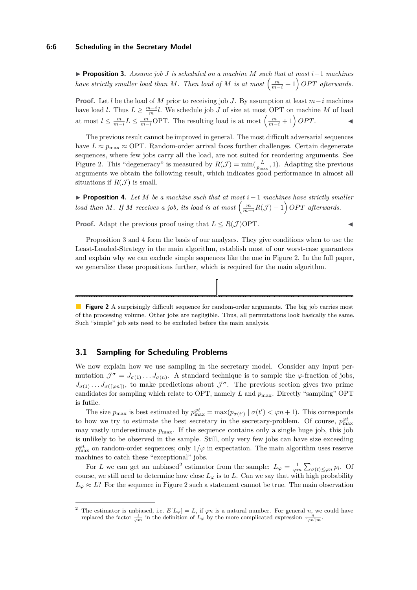▶ **Proposition 3.** *Assume job J is scheduled on a machine M such that at most i*−1 *machines have strictly smaller load than M. Then load of M is at most*  $\left(\frac{m}{m-i} + 1\right) OPT$  *afterwards.* 

**Proof.** Let *l* be the load of *M* prior to receiving job *J*. By assumption at least  $m-i$  machines have load *l*. Thus  $L \geq \frac{m-i}{m}l$ . We schedule job *J* of size at most OPT on machine *M* of load at most  $l \leq \frac{m}{m-i} L \leq \frac{m}{m-i} \text{OPT}$ . The resulting load is at most  $\left(\frac{m}{m-i} + 1\right) OPT$ .

The previous result cannot be improved in general. The most difficult adversarial sequences have  $L \approx p_{\text{max}} \approx \text{OPT}$ . Random-order arrival faces further challenges. Certain degenerate sequences, where few jobs carry all the load, are not suited for reordering arguments. See Figure [2.](#page-5-0) This "degeneracy" is measured by  $R(\mathcal{J}) = \min(\frac{L}{p_{\text{max}}}, 1)$ . Adapting the previous arguments we obtain the following result, which indicates good performance in almost all situations if  $R(\mathcal{J})$  is small.

<span id="page-5-1"></span>▶ **Proposition 4.** *Let M be a machine such that at most i* − 1 *machines have strictly smaller load than M. If M receives a job, its load is at most*  $\left(\frac{m}{m-i}R(\mathcal{J})+1\right)$  *OPT afterwards.* 

**Proof.** Adapt the previous proof using that  $L \leq R(\mathcal{J})$  OPT.

Proposition [3](#page-4-1) and [4](#page-5-1) form the basis of our analyses. They give conditions when to use the Least-Loaded-Strategy in the main algorithm, establish most of our worst-case guarantees and explain why we can exclude simple sequences like the one in Figure [2.](#page-5-0) In the full paper, we generalize these propositions further, which is required for the main algorithm.

<span id="page-5-0"></span>**Figure 2** A surprisingly difficult sequence for random-order arguments. The big job carries most of the processing volume. Other jobs are negligible. Thus, all permutations look basically the same. Such "simple" job sets need to be excluded before the main analysis.

# <span id="page-5-3"></span>**3.1 Sampling for Scheduling Problems**

We now explain how we use sampling in the secretary model. Consider any input permutation  $\mathcal{J}^{\sigma} = J_{\sigma(1)} \dots J_{\sigma(n)}$ . A standard technique is to sample the  $\varphi$ -fraction of jobs,  $J_{\sigma(1)} \ldots J_{\sigma(\lceil \varphi_n \rceil)}$ , to make predictions about  $\mathcal{J}^{\sigma}$ . The previous section gives two prime candidates for sampling which relate to OPT, namely *L* and  $p_{\text{max}}$ . Directly "sampling" OPT is futile.

The size  $p_{\text{max}}$  is best estimated by  $p_{\text{max}}^{\varphi t} = \max(p_{\sigma(t')} | \sigma(t') < \varphi n + 1)$ . This corresponds to how we try to estimate the best secretary in the secretary-problem. Of course,  $p_{\text{max}}^{\varphi t}$ may vastly underestimate  $p_{\text{max}}$ . If the sequence contains only a single huge job, this job is unlikely to be observed in the sample. Still, only very few jobs can have size exceeding  $p_{\text{max}}^{\varphi t}$  on random-order sequences; only  $1/\varphi$  in expectation. The main algorithm uses reserve machines to catch these "exceptional" jobs.

For *L* we can get an unbiased<sup>[2](#page-5-2)</sup> estimator from the sample:  $L_{\varphi} = \frac{1}{\varphi m} \sum_{\sigma(t) \leq \varphi n} p_i$ . Of course, we still need to determine how close  $L_\varphi$  is to *L*. Can we say that with high probability  $L_{\varphi} \approx L$ ? For the sequence in Figure [2](#page-5-0) such a statement cannot be true. The main observation

<span id="page-5-2"></span><sup>&</sup>lt;sup>2</sup> The estimator is unbiased, i.e.  $E[L_{\varphi}] = L$ , if  $\varphi n$  is a natural number. For general *n*, we could have replaced the factor  $\frac{1}{\varphi m}$  in the definition of  $L_{\varphi}$  by the more complicated expression  $\frac{n}{\lceil \varphi n \rceil m}$ .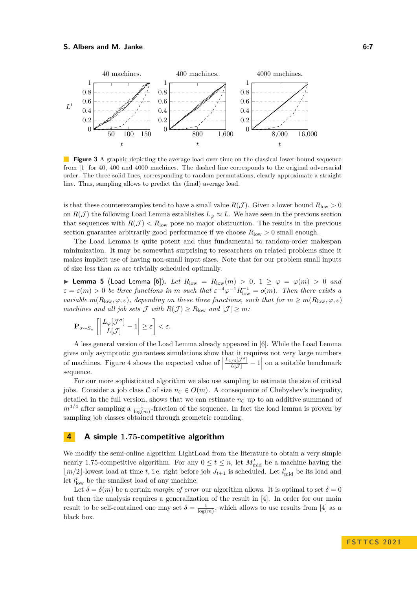

**Figure 3** A graphic depicting the average load over time on the classical lower bound sequence from [\[1\]](#page-15-9) for 40, 400 and 4000 machines. The dashed line corresponds to the original adversarial order. The three solid lines, corresponding to random permutations, clearly approximate a straight line. Thus, sampling allows to predict the (final) average load.

is that these counterexamples tend to have a small value  $R(\mathcal{J})$ . Given a lower bound  $R_{\text{low}} > 0$ on  $R(\mathcal{J})$  the following Load Lemma establishes  $L_{\varphi} \approx L$ . We have seen in the previous section that sequences with  $R(\mathcal{J}) < R_{\text{low}}$  pose no major obstruction. The results in the previous section guarantee arbitrarily good performance if we choose  $R_{\text{low}} > 0$  small enough.

The Load Lemma is quite potent and thus fundamental to random-order makespan minimization. It may be somewhat surprising to researchers on related problems since it makes implicit use of having non-small input sizes. Note that for our problem small inputs of size less than *m* are trivially scheduled optimally.

<span id="page-6-0"></span>▶ **Lemma 5** (Load Lemma [\[6\]](#page-15-1)). *Let*  $R_{\text{low}} = R_{\text{low}}(m) > 0, 1 ≥ \varphi = \varphi(m) > 0$  and  $\varepsilon = \varepsilon(m) > 0$  *be three functions in m* such that  $\varepsilon^{-4} \varphi^{-1} R_{\text{low}}^{-1} = o(m)$ *. Then there exists a variable*  $m(R_{\text{low}}, \varphi, \varepsilon)$ *, depending on these three functions, such that for*  $m \geq m(R_{\text{low}}, \varphi, \varepsilon)$ *machines and all job sets*  $\mathcal{J}$  *with*  $R(\mathcal{J}) \geq R_{\text{low}}$  *and*  $|\mathcal{J}| \geq m$ *:* 

$$
\mathbf{P}_{\sigma \sim S_n} \left[ \left| \frac{L_{\varphi}[\mathcal{J}^{\sigma}]}{L[\mathcal{J}]} - 1 \right| \geq \varepsilon \right] < \varepsilon.
$$

A less general version of the Load Lemma already appeared in [\[6\]](#page-15-1). While the Load Lemma gives only asymptotic guarantees simulations show that it requires not very large numbers of machines. Figure [4](#page-9-0) shows the expected value of  $\vert$  $\frac{L_{1/4}[\mathcal{J}^{\sigma}]}{L[\mathcal{J}]} - 1$  on a suitable benchmark sequence.

For our more sophisticated algorithm we also use sampling to estimate the size of critical jobs. Consider a job class C of size  $n_c \in O(m)$ . A consequence of Chebyshev's inequality, detailed in the full version, shows that we can estimate  $n<sub>C</sub>$  up to an additive summand of  $m^{3/4}$  after sampling a  $\frac{1}{\log(m)}$ -fraction of the sequence. In fact the load lemma is proven by sampling job classes obtained through geometric rounding.

# **4 A simple 1***.***75-competitive algorithm**

We modify the semi-online algorithm LightLoad from the literature to obtain a very simple nearly 1.75-competitive algorithm. For any  $0 \le t \le n$ , let  $M_{mid}^t$  be a machine having the  $\lfloor m/2 \rfloor$ -lowest load at time *t*, i.e. right before job  $J_{t+1}$  is scheduled. Let  $l_{mid}^t$  be its load and let  $l_{\text{low}}^t$  be the smallest load of any machine.

Let  $\delta = \delta(m)$  be a certain *margin of error* our algorithm allows. It is optimal to set  $\delta = 0$ but then the analysis requires a generalization of the result in [\[4\]](#page-15-0). In order for our main result to be self-contained one may set  $\delta = \frac{1}{\log(m)}$ , which allows to use results from [\[4\]](#page-15-0) as a black box.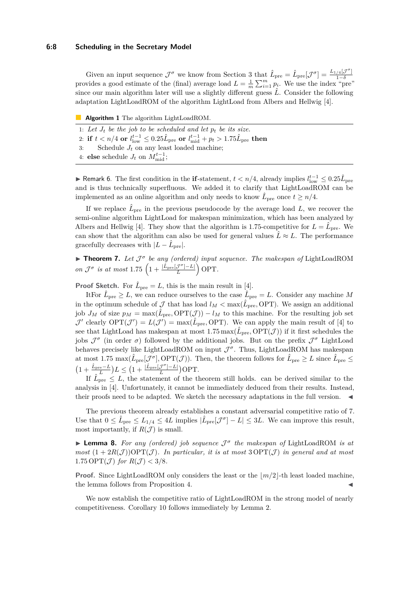Given an input sequence  $\mathcal{J}^{\sigma}$  we know from Section [3](#page-4-2) that  $\hat{L}_{pre} = \hat{L}_{pre}[\mathcal{J}^{\sigma}] = \frac{L_{1/4}[\mathcal{J}^{\sigma}]}{1-\delta}$ 1−*δ* provides a good estimate of the (final) average load  $L = \frac{1}{m} \sum_{i=1}^{m} p_i$ . We use the index "pre" since our main algorithm later will use a slightly different guess  $\hat{L}$ . Consider the following adaptation LightLoadROM of the algorithm LightLoad from Albers and Hellwig [\[4\]](#page-15-0).

|  |  | <b>Algorithm 1</b> The algorithm LightLoadROM. |
|--|--|------------------------------------------------|
|  |  |                                                |

- 1: Let  $J_t$  be the job to be scheduled and let  $p_t$  be its size.
- $2:$  if  $t < n/4$  or  $l_{\rm low}^{t-1} \leq 0.25\hat{L}_{\rm pre}$  or  $l_{\rm mid}^{t-1} + p_t > 1.75\hat{L}_{\rm pre}$  then
- 3: Schedule  $J_t$  on any least loaded machine;
- 4: **else** schedule  $J_t$  on  $M_{\text{mid}}^{t-1}$ ;

▶ Remark 6. The first condition in the **if**-statement,  $t < n/4$ , already implies  $l_{\text{low}}^{t-1} \leq 0.25\hat{L}_{\text{pre}}$ and is thus technically superfluous. We added it to clarify that LightLoadROM can be implemented as an online algorithm and only needs to know  $\hat{L}_{\text{pre}}$  once  $t \ge n/4$ .

If we replace  $\hat{L}_{\text{pre}}$  in the previous pseudocode by the average load  $L$ , we recover the semi-online algorithm LightLoad for makespan minimization, which has been analyzed by Albers and Hellwig [\[4\]](#page-15-0). They show that the algorithm is 1.75-competitive for  $L = \hat{L}_{pre}$ . We can show that the algorithm can also be used for general values  $\hat{L} \approx L$ . The performance gracefully decreases with  $|L - \hat{L}_{pre}|$ .

<span id="page-7-1"></span>▶ **Theorem 7.** *Let* J *σ be any (ordered) input sequence. The makespan of* LightLoadROM *on*  $\mathcal{J}^{\sigma}$  *is at most* 1.75  $\left(1 + \frac{|\hat{L}_{pre}[\mathcal{J}^{\sigma}] - L|}{L}\right)$  $\frac{\mathcal{J}^{\sigma}[-L]}{L}$  OPT.

**Proof Sketch.** For  $\hat{L}_{pre} = L$ , this is the main result in [\[4\]](#page-15-0).

It For  $\hat{L}_{pre} \geq L$ , we can reduce ourselves to the case  $\hat{L}_{pre} = L$ . Consider any machine M in the optimum schedule of  $\mathcal J$  that has load  $l_M < \max(\hat{L}_{pre}, \text{OPT})$ . We assign an additional job  $J_M$  of size  $p_M = \max(\hat{L}_{pre}, \text{OPT}(\mathcal{J})) - l_M$  to this machine. For the resulting job set  $\mathcal{J}'$  clearly  $\text{OPT}(\mathcal{J}') = L(\mathcal{J}') = \max(\hat{L}_{pre}, \text{OPT})$ . We can apply the main result of [\[4\]](#page-15-0) to see that LightLoad has makespan at most  $1.75 \max(\hat{L}_{pre}, \text{OPT}(\mathcal{J}))$  if it first schedules the jobs  $\mathcal{J}^{\sigma}$  (in order  $\sigma$ ) followed by the additional jobs. But on the prefix  $\mathcal{J}^{\sigma}$  LightLoad behaves precisely like LightLoadROM on input  $\mathcal{J}^{\sigma}$ . Thus, LightLoadROM has makespan at most 1.75  $\max(\hat{L}_{pre}[\mathcal{J}^{\sigma}], \text{OPT}(\mathcal{J}))$ . Then, the theorem follows for  $\hat{L}_{pre} \geq L$  since  $\hat{L}_{pre} \leq$  $(1 + \frac{\hat{L}_{pre} - L}{L})L \leq (1 + \frac{|\hat{L}_{pre}[\mathcal{J}^{\sigma}] - L|}{L})$  $\frac{\mathcal{J}^{\circ}\left]-L\right|}{L}$ )OPT.

If  $\hat{L}_{pre} \leq L$ , the statement of the theorem still holds. can be derived similar to the analysis in [\[4\]](#page-15-0). Unfortunately, it cannot be immediately deduced from their results. Instead, their proofs need to be adapted. We sketch the necessary adaptations in the full version.  $\blacktriangleleft$ 

The previous theorem already establishes a constant adversarial competitive ratio of 7. Use that  $0 \leq \hat{L}_{pre} \leq L_{1/4} \leq 4L$  implies  $|\hat{L}_{pre}[\mathcal{J}^{\sigma}] - L| \leq 3L$ . We can improve this result, most importantly, if  $R(\mathcal{J})$  is small.

<span id="page-7-2"></span>▶ **Lemma 8.** *For any (ordered) job sequence* J *σ the makespan of* LightLoadROM *is at most*  $(1 + 2R(\mathcal{J}))$  OPT $(\mathcal{J})$ *. In particular, it is at most* 3 OPT $(\mathcal{J})$  *in general and at most* 1.75 OPT $(\mathcal{J})$  *for*  $R(\mathcal{J}) < 3/8$ *.* 

**Proof.** Since LightLoadROM only considers the least or the  $\lfloor m/2 \rfloor$ -th least loaded machine, the lemma follows from Proposition [4.](#page-5-1)

<span id="page-7-0"></span>We now establish the competitive ratio of LightLoadROM in the strong model of nearly competitiveness. Corollary [10](#page-8-0) follows immediately by Lemma [2.](#page-4-3)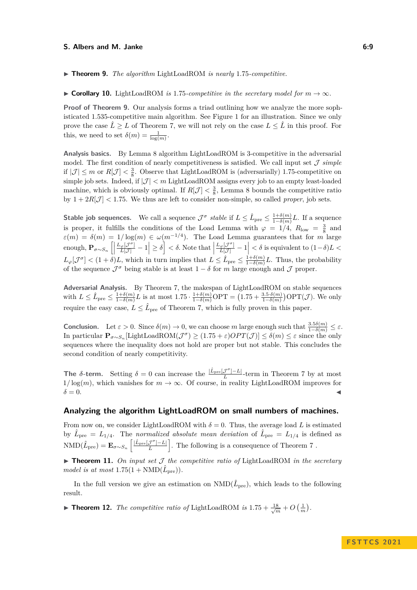### **S. Albers and M. Janke 6:9**

▶ **Theorem 9.** *The algorithm* LightLoadROM *is nearly* 1*.*75*-competitive.*

<span id="page-8-0"></span>▶ **Corollary 10.** LightLoadROM *is* 1.75*-competitive in the secretary model for*  $m \to \infty$ *.* 

**Proof of Theorem [9.](#page-7-0)** Our analysis forms a triad outlining how we analyze the more sophisticated 1*.*535-competitive main algorithm. See Figure [1](#page-3-0) for an illustration. Since we only prove the case  $\hat{L} \geq L$  of Theorem [7,](#page-7-1) we will not rely on the case  $L \leq \hat{L}$  in this proof. For this, we need to set  $\delta(m) = \frac{1}{\log(m)}$ .

**Analysis basics.** By Lemma [8](#page-7-2) algorithm LightLoadROM is 3-competitive in the adversarial model. The first condition of nearly competitiveness is satisfied. We call input set  $\mathcal J$  *simple* if  $|\mathcal{J}| \leq m$  or  $R[\mathcal{J}] < \frac{3}{8}$ . Observe that LightLoadROM is (adversarially) 1.75-competitive on simple job sets. Indeed, if  $|\mathcal{J}| < m$  LightLoadROM assigns every job to an empty least-loaded machine, which is obviously optimal. If  $R[\mathcal{J}] < \frac{3}{8}$ , Lemma [8](#page-7-2) bounds the competitive ratio by  $1 + 2R[\mathcal{J}] < 1.75$ . We thus are left to consider non-simple, so called *proper*, job sets.

**Stable job sequences.** We call a sequence  $\mathcal{J}^{\sigma}$  stable if  $L \leq \hat{L}_{pre} \leq \frac{1+\delta(m)}{1-\delta(m)}$  $\frac{1+o(m)}{1-\delta(m)}L$ . If a sequence is proper, it fulfills the conditions of the Load Lemma with  $\varphi = 1/4$ ,  $R_{\text{low}} = \frac{3}{8}$  and  $\varepsilon(m) = \delta(m) = 1/\log(m) \in \omega(m^{-1/4})$ . The Load Lemma guarantees that for *m* large enough,  $\mathbf{P}_{\sigma \sim S_n}$   $\left[\right]$  $\left| \frac{L_{\varphi}[\mathcal{J}^{\sigma}]}{L[\mathcal{J}]} - 1 \right| \geq \delta \right] < \delta$ . Note that  $|$  $\left| \frac{L_{\varphi}[{\mathcal{J}}^{\sigma}]}{L[{\mathcal{J}}]} - 1 \right| < \delta$  is equivalent to  $(1 - \delta)L <$  $L_\varphi[\mathcal{J}^\sigma] < (1+\delta)L$ , which in turn implies that  $L \leq \hat{L}_{pre} \leq \frac{1+\delta(m)}{1-\delta(m)}$  $\frac{1+\delta(m)}{1-\delta(m)}L$ . Thus, the probability of the sequence  $\mathcal{J}^{\sigma}$  being stable is at least  $1 - \delta$  for *m* large enough and  $\mathcal{J}$  proper.

**Adversarial Analysis.** By Theorem [7,](#page-7-1) the makespan of LightLoadROM on stable sequences with  $L \leq \hat{L}_{pre} \leq \frac{1+\delta(m)}{1-\delta(m)}$  $\frac{1+\delta(m)}{1-\delta(m)}L$  is at most  $1.75 \cdot \frac{1+\delta(m)}{1-\delta(m)}$  OPT =  $(1.75 + \frac{3.5 \cdot \delta(m)}{1-\delta(m)})$  OPT $(\mathcal{J})$ *.* We only require the easy case,  $L \leq \hat{L}_{pre}$  of Theorem [7,](#page-7-1) which is fully proven in this paper.

**Conclusion.** Let  $\varepsilon > 0$ . Since  $\delta(m) \to 0$ , we can choose *m* large enough such that  $\frac{3.5\delta(m)}{1-\delta(m)} \leq \varepsilon$ .  $\text{In particular } \mathbf{P}_{\sigma \sim S_n}[\text{LightLoadROM}(\mathcal{J}^{\sigma}) \geq (1.75 + \varepsilon)OPT(\mathcal{J})] \leq \delta(m) \leq \varepsilon \text{ since the only }$ sequences where the inequality does not hold are proper but not stable. This concludes the second condition of nearly competitivity.

**The**  $\delta$ -term. Setting  $\delta = 0$  can increase the  $\frac{|\hat{L}_{pre}[\mathcal{J}^{\sigma}] - L|}{L}$  $\frac{J^{\top}|-L|}{L}$ -term in Theorem [7](#page-7-1) by at most  $1/\log(m)$ , which vanishes for  $m \to \infty$ . Of course, in reality LightLoadROM improves for  $\delta = 0$ .

# **Analyzing the algorithm LightLoadROM on small numbers of machines.**

From now on, we consider LightLoadROM with  $\delta = 0$ . Thus, the average load L is estimated by  $\hat{L}_{\text{pre}} = L_{1/4}$ . The *normalized absolute mean deviation* of  $\hat{L}_{\text{pre}} = L_{1/4}$  is defined as  $\text{NMD}(\hat{L}_{\text{pre}}) = \mathbf{E}_{\sigma \sim S_n}\left[\frac{|\hat{L}_{\text{pre}}[\mathcal{J}^{\sigma}]-L|}{L}\right]$  $\left[\frac{\mathcal{J}^{\sigma}]-L}{L}\right]$ . The following is a consequence of Theorem [7](#page-7-1).

<span id="page-8-2"></span> $\triangleright$  **Theorem 11.** On input set  $\mathcal{J}$  the competitive ratio of LightLoadROM in the secretary  $model$  is at most  $1.75(1 + \text{NMD}(\hat{L}_{pre}))$ .

In the full version we give an estimation on  $\text{NMD}(\hat{L}_{\text{pre}})$ , which leads to the following result.

<span id="page-8-1"></span>▶ **Theorem 12.** *The competitive ratio of* LightLoadROM *is*  $1.75 + \frac{18}{\sqrt{m}} + O\left(\frac{1}{m}\right)$ .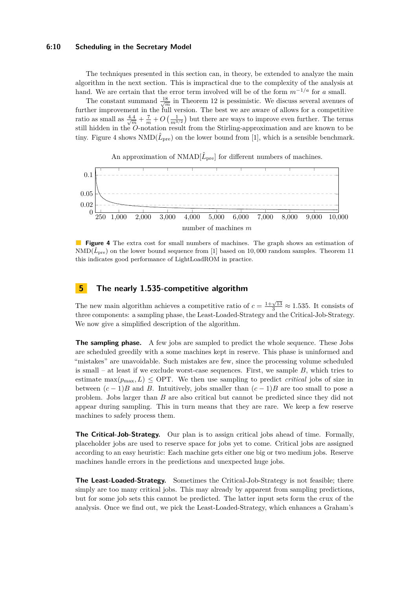# **6:10 Scheduling in the Secretary Model**

The techniques presented in this section can, in theory, be extended to analyze the main algorithm in the next section. This is impractical due to the complexity of the analysis at hand. We are certain that the error term involved will be of the form  $m^{-1/a}$  for a small.

The constant summand  $\frac{18}{\sqrt{m}}$  in Theorem [12](#page-8-1) is pessimistic. We discuss several avenues of further improvement in the full version. The best we are aware of allows for a competitive ratio as small as  $\frac{4.4}{\sqrt{m}} + \frac{7}{m} + O\left(\frac{1}{m^{3/2}}\right)$  but there are ways to improve even further. The terms still hidden in the *O*-notation result from the Stirling-approximation and are known to be tiny. Figure [4](#page-9-0) shows  $NMD(\hat{L}_{pre})$  on the lower bound from [\[1\]](#page-15-9), which is a sensible benchmark.

<span id="page-9-0"></span>

**Figure 4** The extra cost for small numbers of machines. The graph shows an estimation of  $NMD(\hat{L}_{pre})$  on the lower bound sequence from [\[1\]](#page-15-9) based on 10,000 random samples. Theorem [11](#page-8-2) this indicates good performance of LightLoadROM in practice.

# **5 The nearly 1.535-competitive algorithm**

The new main algorithm achieves a competitive ratio of  $c = \frac{1+\sqrt{13}}{3} \approx 1.535$ . It consists of three components: a sampling phase, the Least-Loaded-Strategy and the Critical-Job-Strategy. We now give a simplified description of the algorithm.

**The sampling phase.** A few jobs are sampled to predict the whole sequence. These Jobs are scheduled greedily with a some machines kept in reserve. This phase is uninformed and "mistakes" are unavoidable. Such mistakes are few, since the processing volume scheduled is small – at least if we exclude worst-case sequences. First, we sample *B*, which tries to estimate  $\max(p_{\text{max}}, L) \leq \text{OPT}$ . We then use sampling to predict *critical* jobs of size in between  $(c-1)B$  and *B*. Intuitively, jobs smaller than  $(c-1)B$  are too small to pose a problem. Jobs larger than *B* are also critical but cannot be predicted since they did not appear during sampling. This in turn means that they are rare. We keep a few reserve machines to safely process them.

**The Critical-Job-Strategy.** Our plan is to assign critical jobs ahead of time. Formally, placeholder jobs are used to reserve space for jobs yet to come. Critical jobs are assigned according to an easy heuristic: Each machine gets either one big or two medium jobs. Reserve machines handle errors in the predictions and unexpected huge jobs.

**The Least-Loaded-Strategy.** Sometimes the Critical-Job-Strategy is not feasible; there simply are too many critical jobs. This may already by apparent from sampling predictions, but for some job sets this cannot be predicted. The latter input sets form the crux of the analysis. Once we find out, we pick the Least-Loaded-Strategy, which enhances a Graham's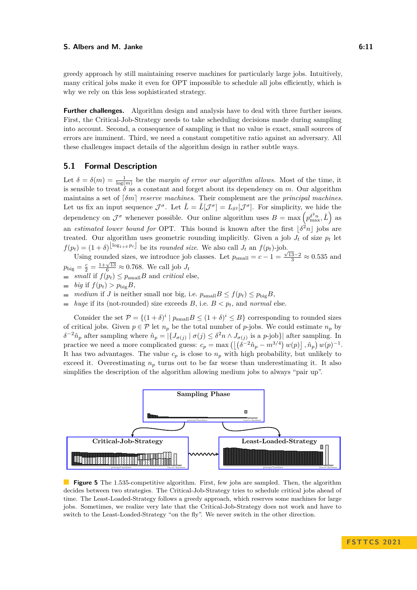# **S. Albers and M. Janke 6:11 6:11 6:11 6:11**

greedy approach by still maintaining reserve machines for particularly large jobs. Intuitively, many critical jobs make it even for OPT impossible to schedule all jobs efficiently, which is why we rely on this less sophisticated strategy.

**Further challenges.** Algorithm design and analysis have to deal with three further issues. First, the Critical-Job-Strategy needs to take scheduling decisions made during sampling into account. Second, a consequence of sampling is that no value is exact, small sources of errors are imminent. Third, we need a constant competitive ratio against an adversary. All these challenges impact details of the algorithm design in rather subtle ways.

# **5.1 Formal Description**

Let  $\delta = \delta(m) = \frac{1}{\log(m)}$  be the *margin of error our algorithm allows*. Most of the time, it is sensible to treat  $\delta$  as a constant and forget about its dependency on *m*. Our algorithm maintains a set of ⌈*δm*⌉ *reserve machines*. Their complement are the *principal machines*. Let us fix an input sequence  $\mathcal{J}^{\sigma}$ . Let  $\hat{L} = \hat{L}[\mathcal{J}^{\sigma}] = L_{\delta^2}[\mathcal{J}^{\sigma}]$ . For simplicity, we hide the dependency on  $\mathcal{J}^{\sigma}$  whenever possible. Our online algorithm uses  $B = \max \left( p_{\max}^{\delta^2 n}, \hat{L} \right)$  as an *estimated lower bound for* OPT. This bound is known after the first  $\lfloor \delta^2 n \rfloor$  jobs are treated. Our algorithm uses geometric rounding implicitly. Given a job  $J_t$  of size  $p_t$  let  $f(p_t) = (1 + \delta)^{\lfloor \log_{1+\delta} p_t \rfloor}$  be its *rounded size*. We also call  $J_t$  an  $f(p_t)$ -job.

Using rounded sizes, we introduce job classes. Let  $p_{\text{small}} = c - 1 = \frac{\sqrt{13-2}}{3} \approx 0.535$  and  $p_{\text{big}} = \frac{c}{2} = \frac{1+\sqrt{13}}{6} \approx 0.768$ . We call job  $J_t$ 

- *small* if  $f(p_t) \leq p_{\text{small}}B$  and *critical* else,
- $\Rightarrow$  *big* if  $f(p_t) > p_{\text{big}}B$ ,
- *medium* if *J* is neither small nor big, i.e.  $p_{\text{small}}B \leq f(p_t) \leq p_{\text{big}}B$ ,
- *huge* if its (not-rounded) size exceeds *B*, i.e.  $B < p_t$ , and *normal* else.

Consider the set  $\mathcal{P} = \{(1+\delta)^i \mid p_{\text{small}}B \leq (1+\delta)^i \leq B\}$  corresponding to rounded sizes of critical jobs. Given  $p \in \mathcal{P}$  let  $n_p$  be the total number of *p*-jobs. We could estimate  $n_p$  by  $\delta^{-2}\hat{n}_p$  after sampling where  $\hat{n}_p = |\{J_{\sigma(j)} \mid \sigma(j) \leq \delta^2 n \wedge J_{\sigma(j)} \text{ is a } p\text{-job}\}|$  after sampling. In practice we need a more complicated guess:  $c_p = \max \left( \left| \left( \delta^{-2} \hat{n}_p - m^{3/4} \right) w(p) \right|, \hat{n}_p \right) w(p)^{-1}$ . It has two advantages. The value  $c_p$  is close to  $n_p$  with high probability, but unlikely to exceed it. Overestimating  $n_p$  turns out to be far worse than underestimating it. It also simplifies the description of the algorithm allowing medium jobs to always "pair up".



**Figure 5** The 1.535-competitive algorithm. First, few jobs are sampled. Then, the algorithm decides between two strategies. The Critical-Job-Strategy tries to schedule critical jobs ahead of time. The Least-Loaded-Strategy follows a greedy approach, which reserves some machines for large jobs. Sometimes, we realize very late that the Critical-Job-Strategy does not work and have to switch to the Least-Loaded-Strategy "on the fly". We never switch in the other direction.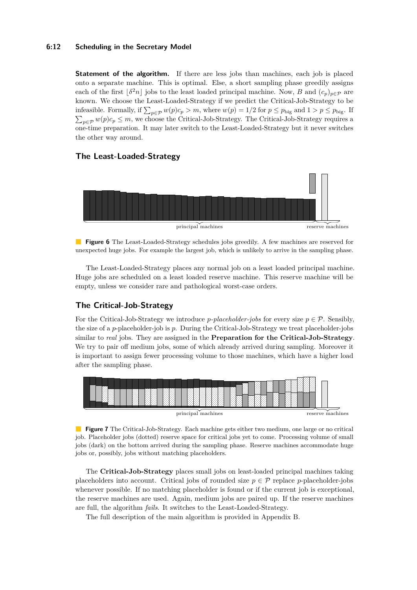# **6:12 Scheduling in the Secretary Model**

**Statement of the algorithm.** If there are less jobs than machines, each job is placed onto a separate machine. This is optimal. Else, a short sampling phase greedily assigns each of the first  $\lfloor \delta^2 n \rfloor$  jobs to the least loaded principal machine. Now, *B* and  $(c_p)_{p \in \mathcal{P}}$  are known. We choose the Least-Loaded-Strategy if we predict the Critical-Job-Strategy to be infeasible. Formally, if  $\sum_{p \in \mathcal{P}} w(p)c_p > m$ , where  $w(p) = 1/2$  for  $p \le p_{\text{big}}$  and  $1 > p \le p_{\text{big}}$ . If  $\sum_{p \in \mathcal{P}} w(p)c_p \leq m$ , we choose the Critical-Job-Strategy. The Critical-Job-Strategy requires a one-time preparation. It may later switch to the Least-Loaded-Strategy but it never switches the other way around.

# principal machines reserve machines

# **The Least-Loaded-Strategy**



The Least-Loaded-Strategy places any normal job on a least loaded principal machine. Huge jobs are scheduled on a least loaded reserve machine. This reserve machine will be empty, unless we consider rare and pathological worst-case orders.

# **The Critical-Job-Strategy**

For the Critical-Job-Strategy we introduce *p*-placeholder-jobs for every size  $p \in \mathcal{P}$ . Sensibly, the size of a *p*-placeholder-job is *p*. During the Critical-Job-Strategy we treat placeholder-jobs similar to *real* jobs. They are assigned in the **Preparation for the Critical-Job-Strategy**. We try to pair off medium jobs, some of which already arrived during sampling. Moreover it is important to assign fewer processing volume to those machines, which have a higher load after the sampling phase.



**Figure 7** The Critical-Job-Strategy. Each machine gets either two medium, one large or no critical job. Placeholder jobs (dotted) reserve space for critical jobs yet to come. Processing volume of small jobs (dark) on the bottom arrived during the sampling phase. Reserve machines accommodate huge jobs or, possibly, jobs without matching placeholders.

The **Critical-Job-Strategy** places small jobs on least-loaded principal machines taking placeholders into account. Critical jobs of rounded size  $p \in \mathcal{P}$  replace *p*-placeholder-jobs whenever possible. If no matching placeholder is found or if the current job is exceptional, the reserve machines are used. Again, medium jobs are paired up. If the reserve machines are full, the algorithm *fails*. It switches to the Least-Loaded-Strategy.

The full description of the main algorithm is provided in Appendix [B.](#page-19-0)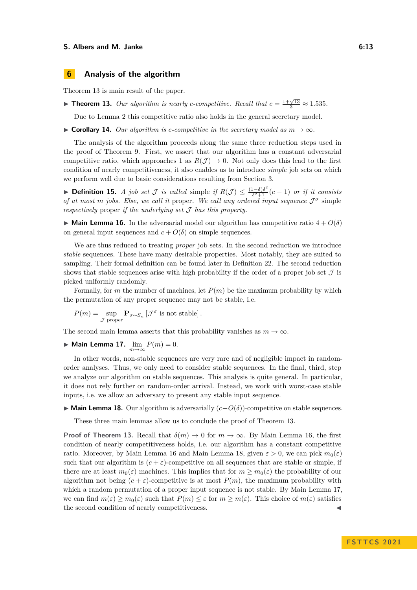### **S. Albers and M. Janke 6:13** 6:13

# **6 Analysis of the algorithm**

Theorem [13](#page-12-0) is main result of the paper.

<span id="page-12-0"></span>▶ **Theorem 13.** *Our algorithm is nearly c-competitive. Recall that*  $c = \frac{1+\sqrt{13}}{3} \approx 1.535$ *.* 

Due to Lemma [2](#page-4-3) this competitive ratio also holds in the general secretary model.

▶ **Corollary 14.** *Our algorithm is c-competitive in the secretary model as*  $m \rightarrow \infty$ *.* 

The analysis of the algorithm proceeds along the same three reduction steps used in the proof of Theorem [9.](#page-7-0) First, we assert that our algorithm has a constant adversarial competitive ratio, which approaches 1 as  $R(\mathcal{J}) \to 0$ . Not only does this lead to the first condition of nearly competitiveness, it also enables us to introduce *simple* job sets on which we perform well due to basic considerations resulting from Section [3.](#page-4-2)

▶ **Definition 15.** *A job set J is called* simple *if*  $R(\mathcal{J}) \leq \frac{(1-\delta)\delta^2}{\delta^2+1}$  $\frac{1-\delta}{\delta^2+1}(c-1)$  *or if it consists of at most m jobs. Else, we call it* proper*. We call any ordered input sequence* J *σ* simple *respectively* proper *if the underlying set* J *has this property.*

<span id="page-12-1"></span> $\triangleright$  **Main Lemma 16.** In the adversarial model our algorithm has competitive ratio  $4 + O(\delta)$ on general input sequences and  $c + O(\delta)$  on simple sequences.

We are thus reduced to treating *proper* job sets. In the second reduction we introduce *stable* sequences. These have many desirable properties. Most notably, they are suited to sampling. Their formal definition can be found later in Definition [22.](#page-13-0) The second reduction shows that stable sequences arise with high probability if the order of a proper job set  $\mathcal J$  is picked uniformly randomly.

Formally, for *m* the number of machines, let *P*(*m*) be the maximum probability by which the permutation of any proper sequence may not be stable, i.e.

$$
P(m) = \sup_{\mathcal{J} \text{ proper}} \mathbf{P}_{\sigma \sim S_n} \left[ \mathcal{J}^{\sigma} \text{ is not stable} \right].
$$

The second main lemma asserts that this probability vanishes as  $m \to \infty$ .

<span id="page-12-3"></span>▶ **Main Lemma 17.** lim *<sup>m</sup>*→∞ *P*(*m*) = 0.

In other words, non-stable sequences are very rare and of negligible impact in randomorder analyses. Thus, we only need to consider stable sequences. In the final, third, step we analyze our algorithm on stable sequences. This analysis is quite general. In particular, it does not rely further on random-order arrival. Instead, we work with worst-case stable inputs, i.e. we allow an adversary to present any stable input sequence.

<span id="page-12-2"></span> $\triangleright$  **Main Lemma 18.** Our algorithm is adversarially  $(c+O(\delta))$ -competitive on stable sequences.

These three main lemmas allow us to conclude the proof of Theorem [13.](#page-12-0)

**Proof of Theorem [13.](#page-12-0)** Recall that  $\delta(m) \to 0$  for  $m \to \infty$ . By Main Lemma [16,](#page-12-1) the first condition of nearly competitiveness holds, i.e. our algorithm has a constant competitive ratio. Moreover, by Main Lemma [16](#page-12-1) and Main Lemma [18,](#page-12-2) given  $\varepsilon > 0$ , we can pick  $m_0(\varepsilon)$ such that our algorithm is  $(c + \varepsilon)$ -competitive on all sequences that are stable or simple, if there are at least  $m_0(\varepsilon)$  machines. This implies that for  $m \geq m_0(\varepsilon)$  the probability of our algorithm not being  $(c + \varepsilon)$ -competitive is at most  $P(m)$ , the maximum probability with which a random permutation of a proper input sequence is not stable. By Main Lemma [17,](#page-12-3) we can find  $m(\varepsilon) \geq m_0(\varepsilon)$  such that  $P(m) \leq \varepsilon$  for  $m \geq m(\varepsilon)$ . This choice of  $m(\varepsilon)$  satisfies the second condition of nearly competitiveness.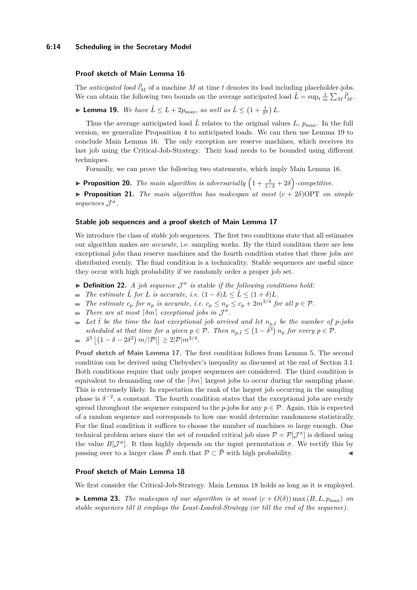# **6:14 Scheduling in the Secretary Model**

# **Proof sketch of Main Lemma [16](#page-12-1)**

The *anticipated load*  $\tilde{l}_M^t$  of a machine *M* at time *t* denotes its load including placeholder-jobs. We can obtain the following two bounds on the average anticipated load  $\tilde{L} = \sup_t \frac{1}{m} \sum_M \tilde{l}_M^t$ .

<span id="page-13-1"></span>**• Lemma 19.** We have  $\tilde{L} \leq L + 2p_{\text{max}}$ , as well as  $\tilde{L} \leq (1 + \frac{1}{\delta^2}) L$ .

Thus the average anticipated load  $\tilde{L}$  relates to the original values L,  $p_{\text{max}}$ . In the full version, we generalize Proposition [4](#page-5-1) to anticipated loads. We can then use Lemma [19](#page-13-1) to conclude Main Lemma [16.](#page-12-1) The only exception are reserve machines, which receives its last job using the Critical-Job-Strategy. Their load needs to be bounded using different techniques.

Formally, we can prove the following two statements, which imply Main Lemma [16.](#page-12-1)

**► Proposition 20.** The main algorithm is adversarially  $\left(1 + \frac{3}{1-\delta} + 2\delta\right)$ -competitive.

 $\triangleright$  **Proposition 21.** *The main algorithm has makespan at most*  $(c + 2\delta)$ OPT *on simple sequences* J *σ .*

### **Stable job sequences and a proof sketch of Main Lemma [17](#page-12-3)**

We introduce the class of *stable* job sequences. The first two conditions state that all estimates our algorithm makes are *accurate*, i.e. sampling works. By the third condition there are less exceptional jobs than reserve machines and the fourth condition states that these jobs are distributed evenly. The final condition is a technicality. Stable sequences are useful since they occur with high probability if we randomly order a proper job set.

- <span id="page-13-0"></span>**• Definition 22.** *A job sequence*  $\mathcal{J}^{\sigma}$  *is* stable *if the following conditions hold:*
- $\blacksquare$  *The estimate*  $\hat{L}$  *for L is accurate, i.e.*  $(1 \delta)L \leq \hat{L} \leq (1 + \delta)L$ .
- *The estimate*  $c_p$  *for*  $n_p$  *is accurate, i.e.*  $c_p \leq n_p \leq c_p + 2m^{3/4}$  *for all*  $p \in \mathcal{P}$ *.*
- *There are at most*  $\lceil \delta m \rceil$  *exceptional jobs in*  $\mathcal{J}^{\sigma}$ *.*
- $\blacksquare$  Let  $\tilde{t}$  be the time the last exceptional job arrived and let  $n_{p,\tilde{t}}$  be the number of *p*-jobs scheduled at that time for a given  $p \in \mathcal{P}$ . Then  $n_{p,\tilde{t}} \leq (1 - \delta^3) n_p$  for every  $p \in \mathcal{P}$ .  $\delta^3 | (1 - \delta - 2\delta^2) m / |\mathcal{P}| | \geq 2 |\mathcal{P}| m^{3/4}.$  $\blacksquare$

**Proof sketch of Main Lemma [17.](#page-12-3)** The first condition follows from Lemma [5.](#page-6-0) The second condition can be derived using Chebyshev's inequality as discussed at the end of Section [3.1.](#page-5-3) Both conditions require that only proper sequences are considered. The third condition is equivalent to demanding one of the  $\lceil \delta m \rceil$  largest jobs to occur during the sampling phase. This is extremely likely. In expectation the rank of the largest job occurring in the sampling phase is  $\delta^{-2}$ , a constant. The fourth condition states that the exceptional jobs are evenly spread throughout the sequence compared to the *p*-jobs for any  $p \in \mathcal{P}$ . Again, this is expected of a random sequence and corresponds to how one would determine randomness statistically. For the final condition it suffices to choose the number of machines *m* large enough. One technical problem arises since the set of rounded critical job sizes  $\mathcal{P} = \mathcal{P}[\mathcal{J}^{\sigma}]$  is defined using the value  $B[\mathcal{J}^{\sigma}]$ . It thus highly depends on the input permutation  $\sigma$ . We rectify this by passing over to a larger class  $\hat{\mathcal{P}}$  such that  $\mathcal{P} \subset \hat{\mathcal{P}}$  with high probability.

# **Proof sketch of Main Lemma [18](#page-12-2)**

<span id="page-13-2"></span>We first consider the Critical-Job-Strategy. Main Lemma [18](#page-12-2) holds as long as it is employed.

**Example 23.** The makespan of our algorithm is at most  $(c+O(\delta))$  max  $(B, L, p_{\text{max}})$  on *stable sequences till it employs the Least-Loaded-Strategy (or till the end of the sequence).*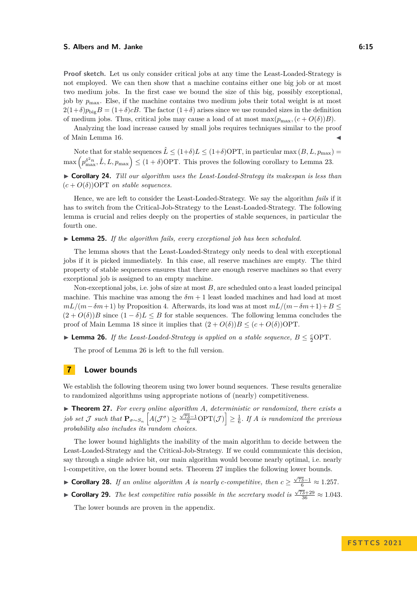### **S. Albers and M. Janke 6:15 6:15**

**Proof sketch.** Let us only consider critical jobs at any time the Least-Loaded-Strategy is not employed. We can then show that a machine contains either one big job or at most two medium jobs. In the first case we bound the size of this big, possibly exceptional, job by  $p_{\text{max}}$ . Else, if the machine contains two medium jobs their total weight is at most  $2(1+\delta)p_{\text{big}}B = (1+\delta)cB$ . The factor  $(1+\delta)$  arises since we use rounded sizes in the definition of medium jobs. Thus, critical jobs may cause a load of at most max $(p_{\text{max}}, (c + O(\delta))B)$ .

Analyzing the load increase caused by small jobs requires techniques similar to the proof of Main Lemma [16.](#page-12-1)

Note that for stable sequences  $\hat{L} \leq (1+\delta) L \leq (1+\delta) \text{OPT}$ , in particular max  $(B, L, p_{\text{max}})$  =  $\max\left(p_{\max}^{\delta^2 n}, \hat{L}, L, p_{\max}\right) \leq (1+\delta) \text{OPT}$ . This proves the following corollary to Lemma [23.](#page-13-2)

▶ **Corollary 24.** *Till our algorithm uses the Least-Loaded-Strategy its makespan is less than*  $(c+O(\delta))$ OPT *on stable sequences.* 

Hence, we are left to consider the Least-Loaded-Strategy. We say the algorithm *fails* if it has to switch from the Critical-Job-Strategy to the Least-Loaded-Strategy. The following lemma is crucial and relies deeply on the properties of stable sequences, in particular the fourth one.

▶ **Lemma 25.** *If the algorithm fails, every exceptional job has been scheduled.*

The lemma shows that the Least-Loaded-Strategy only needs to deal with exceptional jobs if it is picked immediately. In this case, all reserve machines are empty. The third property of stable sequences ensures that there are enough reserve machines so that every exceptional job is assigned to an empty machine.

Non-exceptional jobs, i.e. jobs of size at most *B*, are scheduled onto a least loaded principal machine. This machine was among the  $\delta m + 1$  least loaded machines and had load at most  $mL/(m - \delta m + 1)$  by Proposition [4.](#page-5-1) Afterwards, its load was at most  $mL/(m - \delta m + 1) + B \leq$  $(2 + O(\delta))B$  since  $(1 - \delta)L \leq B$  for stable sequences. The following lemma concludes the proof of Main Lemma [18](#page-12-2) since it implies that  $(2 + O(\delta))B \le (c + O(\delta))$ OPT.

<span id="page-14-0"></span>▶ **Lemma 26.** *If the Least-Loaded-Strategy is applied on a stable sequence,*  $B \n≤ \frac{c}{2}$ OPT.

The proof of Lemma [26](#page-14-0) is left to the full version.

# **7 Lower bounds**

We establish the following theorem using two lower bound sequences. These results generalize to randomized algorithms using appropriate notions of (nearly) competitiveness.

<span id="page-14-1"></span>▶ **Theorem 27.** *For every online algorithm A, deterministic or randomized, there exists a job set*  $J$  *such that*  $\mathbf{P}_{\sigma \sim S_n}$   $\left[A(\mathcal{J}^{\sigma}) \geq \frac{\sqrt{73}-1}{6} \text{OPT}(\mathcal{J}) \right] \geq \frac{1}{6}$ . If *A is randomized the previous probability also includes its random choices.*

The lower bound highlights the inability of the main algorithm to decide between the Least-Loaded-Strategy and the Critical-Job-Strategy. If we could communicate this decision, say through a single advice bit, our main algorithm would become nearly optimal, i.e. nearly 1-competitive, on the lower bound sets. Theorem [27](#page-14-1) implies the following lower bounds.

- ▶ **Corollary 28.** *If an online algorithm A is nearly c-competitive, then*  $c \geq \frac{\sqrt{73}-1}{6} \approx 1.257$ *.*
- ► **Corollary 29.** *The best competitive ratio possible in the secretary model is*  $\frac{\sqrt{73}+29}{36} \approx 1.043$ *.*

The lower bounds are proven in the appendix.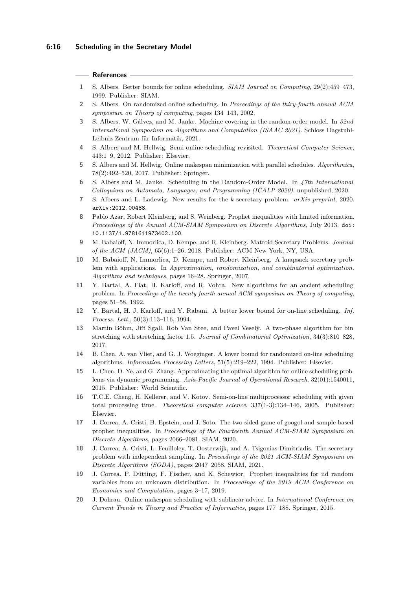# **References**

- <span id="page-15-9"></span>**1** S. Albers. Better bounds for online scheduling. *SIAM Journal on Computing*, 29(2):459–473, 1999. Publisher: SIAM.
- <span id="page-15-7"></span>**2** S. Albers. On randomized online scheduling. In *Proceedings of the thiry-fourth annual ACM symposium on Theory of computing*, pages 134–143, 2002.
- <span id="page-15-2"></span>**3** S. Albers, W. Gálvez, and M. Janke. Machine covering in the random-order model. In *32nd International Symposium on Algorithms and Computation (ISAAC 2021)*. Schloss Dagstuhl-Leibniz-Zentrum für Informatik, 2021.
- <span id="page-15-0"></span>**4** S. Albers and M. Hellwig. Semi-online scheduling revisited. *Theoretical Computer Science*, 443:1–9, 2012. Publisher: Elsevier.
- <span id="page-15-14"></span>**5** S. Albers and M. Hellwig. Online makespan minimization with parallel schedules. *Algorithmica*, 78(2):492–520, 2017. Publisher: Springer.
- <span id="page-15-1"></span>**6** S. Albers and M. Janke. Scheduling in the Random-Order Model. In *47th International Colloquium on Automata, Languages, and Programming (ICALP 2020)*. unpublished, 2020.
- <span id="page-15-16"></span>**7** S. Albers and L. Ladewig. New results for the *k*-secretary problem. *arXiv preprint*, 2020. [arXiv:2012.00488](http://arxiv.org/abs/2012.00488).
- <span id="page-15-5"></span>**8** Pablo Azar, Robert Kleinberg, and S. Weinberg. Prophet inequalities with limited information. *Proceedings of the Annual ACM-SIAM Symposium on Discrete Algorithms*, July 2013. [doi:](https://doi.org/10.1137/1.9781611973402.100) [10.1137/1.9781611973402.100](https://doi.org/10.1137/1.9781611973402.100).
- <span id="page-15-3"></span>**9** M. Babaioff, N. Immorlica, D. Kempe, and R. Kleinberg. Matroid Secretary Problems. *Journal of the ACM (JACM)*, 65(6):1–26, 2018. Publisher: ACM New York, NY, USA.
- <span id="page-15-4"></span>**10** M. Babaioff, N. Immorlica, D. Kempe, and Robert Kleinberg. A knapsack secretary problem with applications. In *Approximation, randomization, and combinatorial optimization. Algorithms and techniques*, pages 16–28. Springer, 2007.
- <span id="page-15-8"></span>**11** Y. Bartal, A. Fiat, H. Karloff, and R. Vohra. New algorithms for an ancient scheduling problem. In *Proceedings of the twenty-fourth annual ACM symposium on Theory of computing*, pages 51–58, 1992.
- <span id="page-15-11"></span>**12** Y. Bartal, H. J. Karloff, and Y. Rabani. A better lower bound for on-line scheduling. *Inf. Process. Lett.*, 50(3):113–116, 1994.
- <span id="page-15-12"></span>13 Martin Böhm, Jiří Sgall, Rob Van Stee, and Pavel Vesely. A two-phase algorithm for bin stretching with stretching factor 1.5. *Journal of Combinatorial Optimization*, 34(3):810–828, 2017.
- <span id="page-15-6"></span>**14** B. Chen, A. van Vliet, and G. J. Woeginger. A lower bound for randomized on-line scheduling algorithms. *Information Processing Letters*, 51(5):219–222, 1994. Publisher: Elsevier.
- <span id="page-15-10"></span>**15** L. Chen, D. Ye, and G. Zhang. Approximating the optimal algorithm for online scheduling problems via dynamic programming. *Asia-Pacific Journal of Operational Research*, 32(01):1540011, 2015. Publisher: World Scientific.
- <span id="page-15-13"></span>**16** T.C.E. Cheng, H. Kellerer, and V. Kotov. Semi-on-line multiprocessor scheduling with given total processing time. *Theoretical computer science*, 337(1-3):134–146, 2005. Publisher: Elsevier.
- <span id="page-15-18"></span>**17** J. Correa, A. Cristi, B. Epstein, and J. Soto. The two-sided game of googol and sample-based prophet inequalities. In *Proceedings of the Fourteenth Annual ACM-SIAM Symposium on Discrete Algorithms*, pages 2066–2081. SIAM, 2020.
- <span id="page-15-17"></span>**18** J. Correa, A. Cristi, L. Feuilloley, T. Oosterwijk, and A. Tsigonias-Dimitriadis. The secretary problem with independent sampling. In *Proceedings of the 2021 ACM-SIAM Symposium on Discrete Algorithms (SODA)*, pages 2047–2058. SIAM, 2021.
- <span id="page-15-19"></span>**19** J. Correa, P. Dütting, F. Fischer, and K. Schewior. Prophet inequalities for iid random variables from an unknown distribution. In *Proceedings of the 2019 ACM Conference on Economics and Computation*, pages 3–17, 2019.
- <span id="page-15-15"></span>**20** J. Dohrau. Online makespan scheduling with sublinear advice. In *International Conference on Current Trends in Theory and Practice of Informatics*, pages 177–188. Springer, 2015.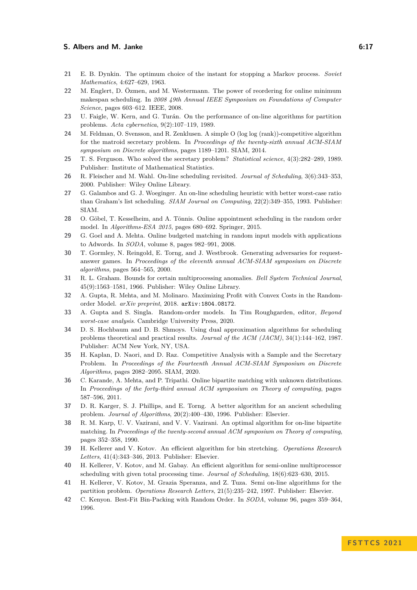# **S. Albers and M. Janke 6:17 6:17**

- <span id="page-16-2"></span>**21** E. B. Dynkin. The optimum choice of the instant for stopping a Markov process. *Soviet Mathematics*, 4:627–629, 1963.
- <span id="page-16-21"></span>**22** M. Englert, D. Özmen, and M. Westermann. The power of reordering for online minimum makespan scheduling. In *2008 49th Annual IEEE Symposium on Foundations of Computer Science*, pages 603–612. IEEE, 2008.
- <span id="page-16-16"></span>**23** U. Faigle, W. Kern, and G. Turán. On the performance of on-line algorithms for partition problems. *Acta cybernetica*, 9(2):107–119, 1989.
- <span id="page-16-3"></span>**24** M. Feldman, O. Svensson, and R. Zenklusen. A simple O (log log (rank))-competitive algorithm for the matroid secretary problem. In *Proceedings of the twenty-sixth annual ACM-SIAM symposium on Discrete algorithms*, pages 1189–1201. SIAM, 2014.
- <span id="page-16-4"></span>**25** T. S. Ferguson. Who solved the secretary problem? *Statistical science*, 4(3):282–289, 1989. Publisher: Institute of Mathematical Statistics.
- <span id="page-16-15"></span>**26** R. Fleischer and M. Wahl. On-line scheduling revisited. *Journal of Scheduling*, 3(6):343–353, 2000. Publisher: Wiley Online Library.
- <span id="page-16-13"></span>**27** G. Galambos and G. J. Woeginger. An on-line scheduling heuristic with better worst-case ratio than Graham's list scheduling. *SIAM Journal on Computing*, 22(2):349–355, 1993. Publisher: SIAM.
- <span id="page-16-6"></span>**28** O. Göbel, T. Kesselheim, and A. Tönnis. Online appointment scheduling in the random order model. In *Algorithms-ESA 2015*, pages 680–692. Springer, 2015.
- <span id="page-16-7"></span>**29** G. Goel and A. Mehta. Online budgeted matching in random input models with applications to Adwords. In *SODA*, volume 8, pages 982–991, 2008.
- <span id="page-16-17"></span>**30** T. Gormley, N. Reingold, E. Torng, and J. Westbrook. Generating adversaries for requestanswer games. In *Proceedings of the eleventh annual ACM-SIAM symposium on Discrete algorithms*, pages 564–565, 2000.
- <span id="page-16-0"></span>**31** R. L. Graham. Bounds for certain multiprocessing anomalies. *Bell System Technical Journal*, 45(9):1563–1581, 1966. Publisher: Wiley Online Library.
- <span id="page-16-12"></span>**32** A. Gupta, R. Mehta, and M. Molinaro. Maximizing Profit with Convex Costs in the Randomorder Model. *arXiv preprint*, 2018. [arXiv:1804.08172](http://arxiv.org/abs/1804.08172).
- <span id="page-16-10"></span>**33** A. Gupta and S. Singla. Random-order models. In Tim Roughgarden, editor, *Beyond worst-case analysis*. Cambridge University Press, 2020.
- <span id="page-16-1"></span>**34** D. S. Hochbaum and D. B. Shmoys. Using dual approximation algorithms for scheduling problems theoretical and practical results. *Journal of the ACM (JACM)*, 34(1):144–162, 1987. Publisher: ACM New York, NY, USA.
- <span id="page-16-5"></span>**35** H. Kaplan, D. Naori, and D. Raz. Competitive Analysis with a Sample and the Secretary Problem. In *Proceedings of the Fourteenth Annual ACM-SIAM Symposium on Discrete Algorithms*, pages 2082–2095. SIAM, 2020.
- <span id="page-16-8"></span>**36** C. Karande, A. Mehta, and P. Tripathi. Online bipartite matching with unknown distributions. In *Proceedings of the forty-third annual ACM symposium on Theory of computing*, pages 587–596, 2011.
- <span id="page-16-14"></span>**37** D. R. Karger, S. J. Phillips, and E. Torng. A better algorithm for an ancient scheduling problem. *Journal of Algorithms*, 20(2):400–430, 1996. Publisher: Elsevier.
- <span id="page-16-9"></span>**38** R. M. Karp, U. V. Vazirani, and V. V. Vazirani. An optimal algorithm for on-line bipartite matching. In *Proceedings of the twenty-second annual ACM symposium on Theory of computing*, pages 352–358, 1990.
- <span id="page-16-18"></span>**39** H. Kellerer and V. Kotov. An efficient algorithm for bin stretching. *Operations Research Letters*, 41(4):343–346, 2013. Publisher: Elsevier.
- <span id="page-16-20"></span>**40** H. Kellerer, V. Kotov, and M. Gabay. An efficient algorithm for semi-online multiprocessor scheduling with given total processing time. *Journal of Scheduling*, 18(6):623–630, 2015.
- <span id="page-16-19"></span>**41** H. Kellerer, V. Kotov, M. Grazia Speranza, and Z. Tuza. Semi on-line algorithms for the partition problem. *Operations Research Letters*, 21(5):235–242, 1997. Publisher: Elsevier.
- <span id="page-16-11"></span>**42** C. Kenyon. Best-Fit Bin-Packing with Random Order. In *SODA*, volume 96, pages 359–364, 1996.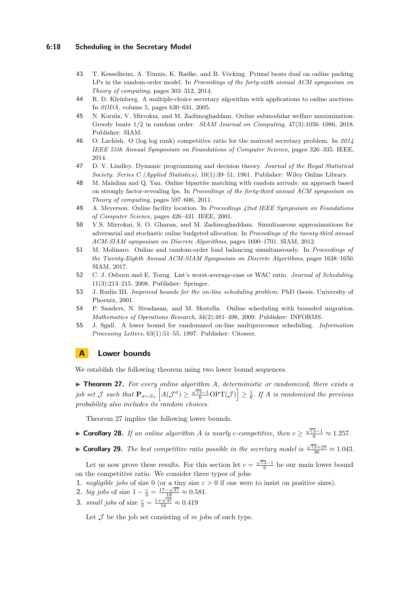# **6:18 Scheduling in the Secretary Model**

- <span id="page-17-7"></span>**43** T. Kesselheim, A. Tönnis, K. Radke, and B. Vöcking. Primal beats dual on online packing LPs in the random-order model. In *Proceedings of the forty-sixth annual ACM symposium on Theory of computing*, pages 303–312, 2014.
- <span id="page-17-0"></span>**44** R. D. Kleinberg. A multiple-choice secretary algorithm with applications to online auctions. In *SODA*, volume 5, pages 630–631, 2005.
- <span id="page-17-8"></span>**45** N. Korula, V. Mirrokni, and M. Zadimoghaddam. Online submodular welfare maximization: Greedy beats 1/2 in random order. *SIAM Journal on Computing*, 47(3):1056–1086, 2018. Publisher: SIAM.
- <span id="page-17-1"></span>**46** O. Lachish. O (log log rank) competitive ratio for the matroid secretary problem. In *2014 IEEE 55th Annual Symposium on Foundations of Computer Science*, pages 326–335. IEEE, 2014.
- <span id="page-17-2"></span>**47** D. V. Lindley. Dynamic programming and decision theory. *Journal of the Royal Statistical Society: Series C (Applied Statistics)*, 10(1):39–51, 1961. Publisher: Wiley Online Library.
- <span id="page-17-5"></span>**48** M. Mahdian and Q. Yan. Online bipartite matching with random arrivals: an approach based on strongly factor-revealing lps. In *Proceedings of the forty-third annual ACM symposium on Theory of computing*, pages 597–606, 2011.
- <span id="page-17-6"></span>**49** A. Meyerson. Online facility location. In *Proceedings 42nd IEEE Symposium on Foundations of Computer Science*, pages 426–431. IEEE, 2001.
- <span id="page-17-9"></span>**50** V.S. Mirrokni, S. O. Gharan, and M. Zadimoghaddam. Simultaneous approximations for adversarial and stochastic online budgeted allocation. In *Proceedings of the twenty-third annual ACM-SIAM symposium on Discrete Algorithms*, pages 1690–1701. SIAM, 2012.
- <span id="page-17-3"></span>**51** M. Molinaro. Online and random-order load balancing simultaneously. In *Proceedings of the Twenty-Eighth Annual ACM-SIAM Symposium on Discrete Algorithms*, pages 1638–1650. SIAM, 2017.
- <span id="page-17-4"></span>**52** C. J. Osborn and E. Torng. List's worst-average-case or WAC ratio. *Journal of Scheduling*, 11(3):213–215, 2008. Publisher: Springer.
- <span id="page-17-11"></span>**53** J. Rudin III. *Improved bounds for the on-line scheduling problem*. PhD thesis, University of Phoenix, 2001.
- <span id="page-17-12"></span>**54** P. Sanders, N. Sivadasan, and M. Skutella. Online scheduling with bounded migration. *Mathematics of Operations Research*, 34(2):481–498, 2009. Publisher: INFORMS.
- <span id="page-17-10"></span>**55** J. Sgall. A lower bound for randomized on-line multiprocessor scheduling. *Information Processing Letters*, 63(1):51–55, 1997. Publisher: Citeseer.

# **A Lower bounds**

We establish the following theorem using two lower bound sequences.

▶ **Theorem 27.** For every online algorithm *A*, deterministic or randomized, there exists a  $j$ *ob set*  $\mathcal J$  *such that*  $\mathbf{P}_{\sigma \sim S_n}$   $\left[A(\mathcal{J}^{\sigma}) \ge \frac{\sqrt{73}-1}{6} \text{OPT}(\mathcal{J})\right] \ge \frac{1}{6}$ *. If A is randomized the previous probability also includes its random choices.*

Theorem [27](#page-14-1) implies the following lower bounds.

- ▶ **Corollary 28.** *If an online algorithm A is nearly c-competitive, then*  $c \geq \frac{\sqrt{73}-1}{6} \approx 1.257$ *.*
- ► **Corollary 29.** *The best competitive ratio possible in the secretary model is*  $\frac{\sqrt{73}+29}{36} \approx 1.043$ *.*

Let us now prove these results. For this section let  $c = \frac{\sqrt{73}-1}{6}$  be our main lower bound on the competitive ratio. We consider three types of jobs:

- **1.** *negligible jobs* of size 0 (or a tiny size  $\varepsilon > 0$  if one were to insist on positive sizes).
- **2.** *big jobs* of size  $1 \frac{c}{3} = \frac{17 \sqrt{37}}{18} \approx 0.581$ .
- 3. *small jobs* of size  $\frac{c}{3} = \frac{1+\sqrt{37}}{18} \approx 0.419$

Let  $\mathcal J$  be the job set consisting of  $m$  jobs of each type.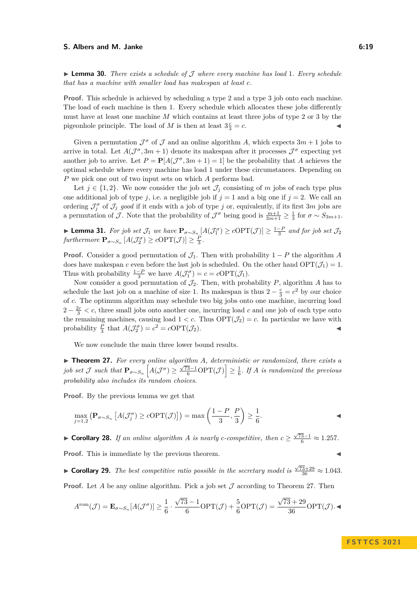### **S. Albers and M. Janke 6:19 6:19**

▶ **Lemma 30.** *There exists a schedule of* J *where every machine has load* 1*. Every schedule that has a machine with smaller load has makespan at least c.*

**Proof.** This schedule is achieved by scheduling a type 2 and a type 3 job onto each machine. The load of each machine is then 1. Every schedule which allocates these jobs differently must have at least one machine *M* which contains at least three jobs of type 2 or 3 by the pigeonhole principle. The load of *M* is then at least  $3\frac{c}{3} = c$ .

Given a permutation  $\mathcal{J}^{\sigma}$  of  $\mathcal J$  and an online algorithm A, which expects  $3m+1$  jobs to arrive in total. Let  $A(\mathcal{J}^{\sigma}, 3m + 1)$  denote its makespan after it processes  $\mathcal{J}^{\sigma}$  expecting yet another job to arrive. Let  $P = P[A(\mathcal{J}^{\sigma}, 3m + 1) = 1]$  be the probability that *A* achieves the optimal schedule where every machine has load 1 under these circumstances. Depending on *P* we pick one out of two input sets on which *A* performs bad.

Let  $j \in \{1,2\}$ . We now consider the job set  $\mathcal{J}_j$  consisting of *m* jobs of each type plus one additional job of type *j*, i.e. a negligible job if  $j = 1$  and a big one if  $j = 2$ . We call an ordering  $\mathcal{J}^{\sigma}_{j}$  of  $\mathcal{J}_{j}$  good if it ends with a job of type *j* or, equivalently, if its first 3*m* jobs are a permutation of *J*. Note that the probability of  $\mathcal{J}^{\sigma}$  being good is  $\frac{m+1}{3m+1} \geq \frac{1}{3}$  for  $\sigma \sim S_{3m+1}$ .

▶ **Lemma 31.** *For job set*  $\mathcal{J}_1$  *we have*  $\mathbf{P}_{\sigma \sim S_{n}}[A(\mathcal{J}_1^{\sigma}) \ge c\text{OPT}(\mathcal{J})] \ge \frac{1-P}{3}$  *and for job set*  $\mathcal{J}_2$  $furthermore \ \mathbf{P}_{\sigma \sim S_n} \left[ A(\mathcal{J}_2^{\sigma}) \geq c\text{OPT}(\mathcal{J}) \right] \geq \frac{P}{3}.$ 

**Proof.** Consider a good permutation of  $\mathcal{J}_1$ . Then with probability 1 – *P* the algorithm *A* does have makespan *c* even before the last job is scheduled. On the other hand  $OPT(\mathcal{J}_1) = 1$ . Thus with probability  $\frac{1-P}{3}$  we have  $A(\mathcal{J}_1^{\sigma}) = c = c \text{OPT}(\mathcal{J}_1)$ .

Now consider a good permutation of  $\mathcal{J}_2$ . Then, with probability *P*, algorithm *A* has to schedule the last job on a machine of size 1. Its makespan is thus  $2 - \frac{c}{3} = c^2$  by our choice of *c*. The optimum algorithm may schedule two big jobs onto one machine, incurring load  $2 - \frac{2c}{3} < c$ , three small jobs onto another one, incurring load c and one job of each type onto the remaining machines, causing load  $1 < c$ . Thus  $\text{OPT}(\mathcal{J}_2) = c$ . In particular we have with probability  $\frac{P}{3}$  that  $A(\mathcal{J}_2^{\sigma}) = c^2 = c \text{OPT}(\mathcal{J}_2).$ 

We now conclude the main three lower bound results.

▶ **Theorem 27.** *For every online algorithm A, deterministic or randomized, there exists a*  $j$ *ob set*  $\mathcal J$  *such that*  $\mathbf{P}_{\sigma \sim S_n}$   $\left[A(\mathcal{J}^{\sigma}) \ge \frac{\sqrt{73}-1}{6} \text{OPT}(\mathcal{J})\right] \ge \frac{1}{6}$ *. If*  $A$  *is randomized the previous probability also includes its random choices.*

**Proof.** By the previous lemma we get that

$$
\max_{j=1,2} \left( \mathbf{P}_{\sigma \sim S_n} \left[ A(\mathcal{J}_j^{\sigma}) \ge c \mathrm{OPT}(\mathcal{J}) \right] \right) = \max \left( \frac{1 - P}{3}, \frac{P}{3} \right) \ge \frac{1}{6}.
$$

▶ **Corollary 28.** *If an online algorithm A is nearly c-competitive, then*  $c \geq \frac{\sqrt{73}-1}{6} \approx 1.257$ *.* **Proof.** This is immediate by the previous theorem.

► **Corollary 29.** *The best competitive ratio possible in the secretary model is*  $\frac{\sqrt{73}+29}{36} \approx 1.043$ *.* **Proof.** Let *A* be any online algorithm. Pick a job set  $\mathcal J$  according to Theorem [27.](#page-14-1) Then

√ √

$$
A^{\text{rom}}(\mathcal{J}) = \mathbf{E}_{\sigma \sim S_n}[A(\mathcal{J}^{\sigma})] \ge \frac{1}{6} \cdot \frac{\sqrt{73 - 1}}{6} \text{OPT}(\mathcal{J}) + \frac{5}{6} \text{OPT}(\mathcal{J}) = \frac{\sqrt{73 + 29}}{36} \text{OPT}(\mathcal{J}).
$$

**F S T T C S 2 0 2 1**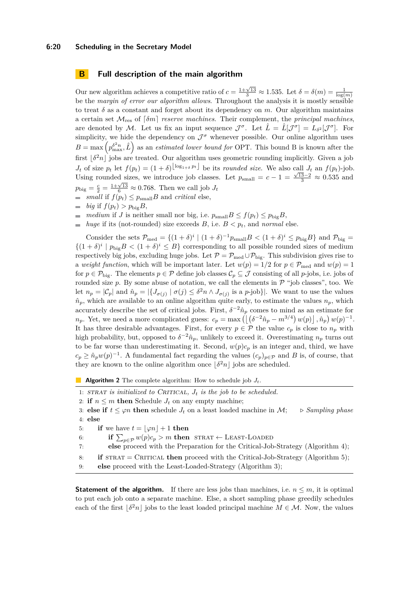# **6:20 Scheduling in the Secretary Model**

# <span id="page-19-0"></span>**B Full description of the main algorithm**

Our new algorithm achieves a competitive ratio of  $c = \frac{1+\sqrt{13}}{3} \approx 1.535$ . Let  $\delta = \delta(m) = \frac{1}{\log(m)}$ be the *margin of error our algorithm allows*. Throughout the analysis it is mostly sensible to treat  $\delta$  as a constant and forget about its dependency on  $m$ . Our algorithm maintains a certain set  $\mathcal{M}_{res}$  of  $\lceil \delta m \rceil$  *reserve machines*. Their complement, the *principal machines*, are denoted by M. Let us fix an input sequence  $\mathcal{J}^{\sigma}$ . Let  $\hat{L} = \hat{L}[\mathcal{J}^{\sigma}] = L_{\delta^2}[\mathcal{J}^{\sigma}]$ . For simplicity, we hide the dependency on  $\mathcal{J}^{\sigma}$  whenever possible. Our online algorithm uses  $B = \max\left(p_{\text{max}}^{\delta^2 n}, \hat{L}\right)$  as an *estimated lower bound for* OPT. This bound B is known after the first  $|\delta^2 n|$  jobs are treated. Our algorithm uses geometric rounding implicitly. Given a job *J*<sub>t</sub> of size  $p_t$  let  $f(p_t) = (1+\delta)^{\lfloor \log_{1+\delta} p_t \rfloor}$  be its *rounded size*. We also call  $J_t$  an  $f(p_t)$ -job. Using rounded sizes, we introduce job classes. Let  $p_{\text{small}} = c - 1 = \frac{\sqrt{13}-2}{3} \approx 0.535$  and  $p_{\text{big}} = \frac{c}{2} = \frac{1 + \sqrt{13}}{6} \approx 0.768$ . Then we call job  $J_t$ 

- *small* if  $f(p_t) \leq p_{\text{small}}B$  and *critical* else,
- $\Rightarrow$  *big* if  $f(p_t) > p_{\text{bi}}gB$ ,
- *medium* if *J* is neither small nor big, i.e.  $p_{\text{small}}B \le f(p_t) \le p_{\text{big}}B$ ,
- *huge* if its (not-rounded) size exceeds *B*, i.e.  $B < p_t$ , and *normal* else.

Consider the sets  $\mathcal{P}_{\text{med}} = \{(1+\delta)^i \mid (1+\delta)^{-1}p_{\text{small}}B < (1+\delta)^i \le p_{\text{big}}B\}$  and  $\mathcal{P}_{\text{big}} =$  $\{(1 + \delta)^i \mid p_{\text{big}}B < (1 + \delta)^i \leq B\}$  corresponding to all possible rounded sizes of medium respectively big jobs, excluding huge jobs. Let  $\mathcal{P} = \mathcal{P}_{\text{med}} \cup \mathcal{P}_{\text{big}}$ . This subdivision gives rise to a *weight function*, which will be important later. Let  $w(p) = 1/2$  for  $p \in \mathcal{P}_{\text{med}}$  and  $w(p) = 1$ for  $p \in \mathcal{P}_{\text{big}}$ . The elements  $p \in \mathcal{P}$  define job classes  $\mathcal{C}_p \subseteq \mathcal{J}$  consisting of all *p*-jobs, i.e. jobs of rounded size  $p$ . By some abuse of notation, we call the elements in  $\mathcal P$  "job classes", too. We let  $n_p = |\mathcal{C}_p|$  and  $\hat{n}_p = |\{J_{\sigma(j)} \mid \sigma(j) \leq \delta^2 n \wedge J_{\sigma(j)} \text{ is a } p\text{-job}\}|$ . We want to use the values  $\hat{n}_p$ , which are available to an online algorithm quite early, to estimate the values  $n_p$ , which accurately describe the set of critical jobs. First,  $\delta^{-2}\hat{n}_p$  comes to mind as an estimate for *n*<sub>p</sub>. Yet, we need a more complicated guess:  $c_p = \max \left( \left| \left( \delta^{-2} \hat{n}_p - m^{3/4} \right) w(p) \right|, \hat{n}_p \right) w(p)^{-1}$ . It has three desirable advantages. First, for every  $p \in \mathcal{P}$  the value  $c_p$  is close to  $n_p$  with high probability, but, opposed to  $\delta^{-2}\hat{n}_p$ , unlikely to exceed it. Overestimating  $n_p$  turns out to be far worse than underestimating it. Second,  $w(p)c_p$  is an integer and, third, we have  $c_p \geq \hat{n}_p w(p)^{-1}$ . A fundamental fact regarding the values  $(c_p)_{p \in \mathcal{P}}$  and *B* is, of course, that they are known to the online algorithm once  $\lfloor \delta^2 n \rfloor$  jobs are scheduled.

**Algorithm 2** The complete algorithm: How to schedule job *Jt*.

1: STRAT *is initialized to CRITICAL*,  $J_t$  *is the job to be scheduled.* 

2: **if**  $n \leq m$  **then** Schedule  $J_t$  on any empty machine;

3: **else if**  $t \leq \varphi n$  **then** schedule  $J_t$  on a least loaded machine in  $\mathcal{M}$ ;  $\triangleright$  *Sampling phase* 4: **else**

5: **if** we have  $t = \lfloor \varphi n \rfloor + 1$  **then** 

6: **if**  $\sum_{p \in \mathcal{P}} w(p)c_p > m$  then  $\text{STRAT} \leftarrow \text{LEAST-LOADED}$ 

7: **else** proceed with the Preparation for the Critical-Job-Strategy (Algorithm [4\)](#page-20-0);

8: **if** STRAT = CRITICAL **then** proceed with the Critical-Job-Strategy (Algorithm [5\)](#page-21-0);

9: **else** proceed with the Least-Loaded-Strategy (Algorithm [3\)](#page-20-1);

**Statement of the algorithm.** If there are less jobs than machines, i.e.  $n \leq m$ , it is optimal to put each job onto a separate machine. Else, a short sampling phase greedily schedules each of the first  $\delta^2 n$  jobs to the least loaded principal machine  $M \in \mathcal{M}$ . Now, the values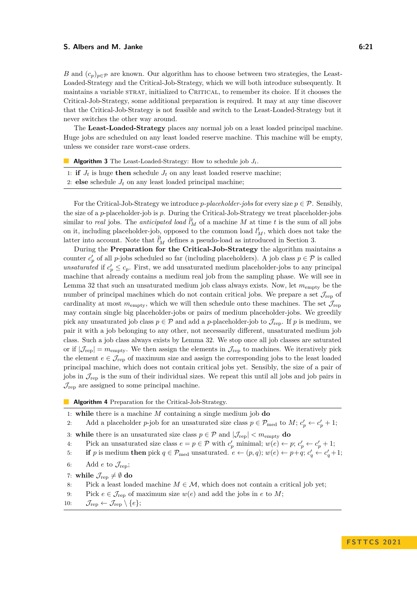### **S. Albers and M. Janke 6:21 6:21**

*B* and  $(c_p)_{p \in \mathcal{P}}$  are known. Our algorithm has to choose between two strategies, the Least-Loaded-Strategy and the Critical-Job-Strategy, which we will both introduce subsequently. It maintains a variable STRAT, initialized to CRITICAL, to remember its choice. If it chooses the Critical-Job-Strategy, some additional preparation is required. It may at any time discover that the Critical-Job-Strategy is not feasible and switch to the Least-Loaded-Strategy but it never switches the other way around.

The **Least-Loaded-Strategy** places any normal job on a least loaded principal machine. Huge jobs are scheduled on any least loaded reserve machine. This machine will be empty, unless we consider rare worst-case orders.

<span id="page-20-1"></span>

| <b>Algorithm 3</b> The Least-Loaded-Strategy: How to schedule job $J_t$ . |  |  |
|---------------------------------------------------------------------------|--|--|
|---------------------------------------------------------------------------|--|--|

- 1: **if**  $J_t$  is huge **then** schedule  $J_t$  on any least loaded reserve machine;
- 2: **else** schedule  $J_t$  on any least loaded principal machine;

For the Critical-Job-Strategy we introduce *p-placeholder-jobs* for every size  $p \in \mathcal{P}$ . Sensibly, the size of a *p*-placeholder-job is *p*. During the Critical-Job-Strategy we treat placeholder-jobs similar to *real* jobs. The *anticipated load*  $\tilde{l}_{M}^{t}$  of a machine *M* at time *t* is the sum of all jobs on it, including placeholder-job, opposed to the common load  $l_M^t$ , which does not take the latter into account. Note that  $\tilde{l}_M^t$  defines a pseudo-load as introduced in Section [3.](#page-4-2)

During the **Preparation for the Critical-Job-Strategy** the algorithm maintains a counter  $c'_{p}$  of all *p*-jobs scheduled so far (including placeholders). A job class  $p \in \mathcal{P}$  is called *unsaturated* if  $c'_{p} \leq c_{p}$ . First, we add unsaturated medium placeholder-jobs to any principal machine that already contains a medium real job from the sampling phase. We will see in Lemma [32](#page-21-1) that such an unsaturated medium job class always exists. Now, let *m*empty be the number of principal machines which do not contain critical jobs. We prepare a set  $\mathcal{J}_{\text{rep}}$  of cardinality at most  $m_{\text{empty}}$ , which we will then schedule onto these machines. The set  $\mathcal{J}_{\text{rep}}$ may contain single big placeholder-jobs or pairs of medium placeholder-jobs. We greedily pick any unsaturated job class  $p \in \mathcal{P}$  and add a *p*-placeholder-job to  $\mathcal{J}_{\text{ren}}$ . If *p* is medium, we pair it with a job belonging to any other, not necessarily different, unsaturated medium job class. Such a job class always exists by Lemma [32.](#page-21-1) We stop once all job classes are saturated or if  $|\mathcal{J}_{rep}| = m_{empty}$ . We then assign the elements in  $\mathcal{J}_{rep}$  to machines. We iteratively pick the element  $e \in \mathcal{J}_{\text{rep}}$  of maximum size and assign the corresponding jobs to the least loaded principal machine, which does not contain critical jobs yet. Sensibly, the size of a pair of jobs in  $\mathcal{J}_{\text{rep}}$  is the sum of their individual sizes. We repeat this until all jobs and job pairs in  $\mathcal{J}_{\text{rep}}$  are assigned to some principal machine.

<span id="page-20-0"></span>**Algorithm 4** Preparation for the Critical-Job-Strategy.

- 1: **while** there is a machine *M* containing a single medium job **do**
- 2: Add a placeholder *p*-job for an unsaturated size class  $p \in \mathcal{P}_{\text{med}}$  to  $M$ ;  $c'_{p} \leftarrow c'_{p} + 1$ ;
- 3: **while** there is an unsaturated size class  $p \in \mathcal{P}$  and  $|\mathcal{J}_{rep}| < m_{empty}$  do
- 4: Pick an unsaturated size class  $e = p \in \mathcal{P}$  with  $c'_p$  minimal;  $w(e) \leftarrow p$ ;  $c'_p \leftarrow c'_p + 1$ ;

5: **if** *p* is medium **then** pick  $q \in \mathcal{P}_{\text{med}}$  unsaturated.  $e \leftarrow (p, q); w(e) \leftarrow p + q; c'_{q} \leftarrow c'_{q} + 1;$ 

6: Add *e* to  $\mathcal{J}_{\text{rep}}$ ;

7: **while**  $\mathcal{J}_{\text{rep}} \neq \emptyset$  **do** 

- 8: Pick a least loaded machine  $M \in \mathcal{M}$ , which does not contain a critical job yet;
- 9: Pick  $e \in \mathcal{J}_{\text{rep}}$  of maximum size  $w(e)$  and add the jobs in  $e$  to  $M$ ;
- 10:  $\mathcal{J}_{rep} \leftarrow \mathcal{J}_{rep} \setminus \{e\};$